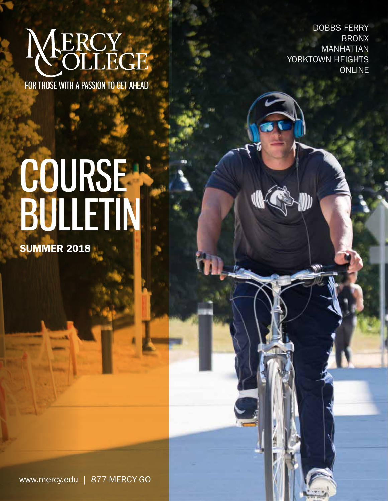# NERCY

FOR THOSE WITH A PASSION TO GET AHEAD

DOBBS FERRY BRONX MANHATTAN YORKTOWN HEIGHTS ONLINE

# COURSE BULLETIN

**SUMMER 2018** 

www.mercy.edu | 877-MERCY-GO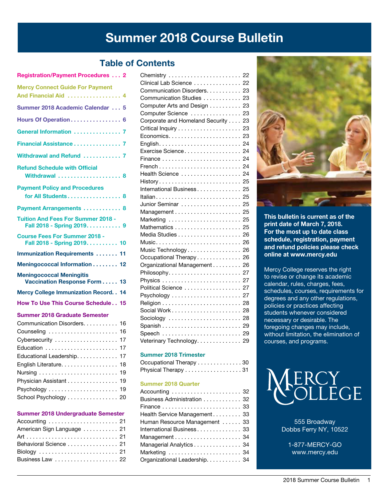# Summer 2018 Course Bulletin

# Table of Contents

| <b>Registration/Payment Procedures  2</b>                                                                                                                                                                                                                           |
|---------------------------------------------------------------------------------------------------------------------------------------------------------------------------------------------------------------------------------------------------------------------|
| <b>Mercy Connect Guide For Payment</b><br>And Financial Aid  4                                                                                                                                                                                                      |
| Summer 2018 Academic Calendar  5                                                                                                                                                                                                                                    |
| Hours Of Operation 6                                                                                                                                                                                                                                                |
| General Information  7                                                                                                                                                                                                                                              |
| Financial Assistance 7                                                                                                                                                                                                                                              |
| Withdrawal and Refund  7                                                                                                                                                                                                                                            |
| <b>Refund Schedule with Official</b><br>Withdrawal  8                                                                                                                                                                                                               |
| <b>Payment Policy and Procedures</b><br>for All Students 8                                                                                                                                                                                                          |
| Payment Arrangements  8                                                                                                                                                                                                                                             |
| <b>Tuition And Fees For Summer 2018 -</b><br>Fall 2018 - Spring 2019. 9                                                                                                                                                                                             |
| <b>Course Fees For Summer 2018 -</b><br>Fall 2018 - Spring 2019. 10                                                                                                                                                                                                 |
| <b>Immunization Requirements  11</b>                                                                                                                                                                                                                                |
| Meningococcal Information 12                                                                                                                                                                                                                                        |
| <b>Meningococcal Meningitis</b><br>Vaccination Response Form 13                                                                                                                                                                                                     |
| <b>Mercy College Immunization Record</b><br>14                                                                                                                                                                                                                      |
| How To Use This Course Schedule 15                                                                                                                                                                                                                                  |
| <b>Summer 2018 Graduate Semester</b><br>Communication Disorders.<br>16<br>Counseling<br>16<br>Cybersecurity<br>17<br>Education<br>17<br>Educational Leadership. 17<br>English Literature.<br>18<br>19<br>Physician Assistant<br>19<br>19<br>School Psychology<br>20 |
|                                                                                                                                                                                                                                                                     |

## Summer 2018 Undergraduate Semester

| Accounting  21            |  |
|---------------------------|--|
| American Sign Language 21 |  |
|                           |  |
| Behavioral Science 21     |  |
|                           |  |
|                           |  |

| Chemistry  22                   |     |
|---------------------------------|-----|
| Clinical Lab Science  22        |     |
| Communication Disorders. 23     |     |
| Communication Studies  23       |     |
| Computer Arts and Design        | 23  |
| Computer Science                | 23  |
| Corporate and Homeland Security | 23  |
|                                 | 23  |
|                                 | 23  |
|                                 | 24  |
| Exercise Science                | 24  |
|                                 | 24  |
|                                 | 24  |
| Health Science                  | 24  |
| History 25                      |     |
| International Business          | 25  |
| Italian                         | -25 |
| Junior Seminar  25              |     |
|                                 |     |
| Marketing                       | 25  |
|                                 | 25  |
|                                 |     |
| Music 26                        |     |
| Music Technology                | 26  |
| Occupational Therapy            | 26  |
| Organizational Management       | 26  |
|                                 | 27  |
| Physics                         | 27  |
| Political Science               | 27  |
|                                 | 27  |
|                                 | 28  |
| Social Work                     | 28  |
| Sociology                       | 28  |
|                                 |     |
| Speech  29                      |     |
| Veterinary Technology.          | 29  |

## Summer 2018 Trimester

| Occupational Therapy 30 |  |
|-------------------------|--|
| Physical Therapy 31     |  |

#### Summer 2018 Quarter

| Business Administration 32    |  |
|-------------------------------|--|
|                               |  |
| Health Service Management 33  |  |
| Human Resource Management  33 |  |
| International Business 33     |  |
|                               |  |
| Managerial Analytics 34       |  |
| Marketing  34                 |  |
| Organizational Leadership. 34 |  |



This bulletin is current as of the print date of March 7, 2018. For the most up to date class schedule, registration, payment and refund policies please check online at www.mercy.edu

Mercy College reserves the right to revise or change its academic calendar, rules, charges, fees, schedules, courses, requirements for degrees and any other regulations, policies or practices affecting students whenever considered necessary or desirable. The foregoing changes may include, without limitation, the elimination of courses, and programs.



555 Broadway Dobbs Ferry NY, 10522

1-877-MERCY-GO www.mercy.edu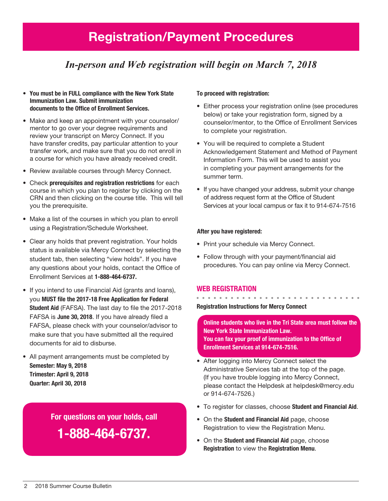# Registration/Payment Procedures

# *In-person and Web registration will begin on March 7, 2018*

- You must be in FULL compliance with the New York State Immunization Law. Submit immunization documents to the Office of Enrollment Services.
- Make and keep an appointment with your counselor/ mentor to go over your degree requirements and review your transcript on Mercy Connect. If you have transfer credits, pay particular attention to your transfer work, and make sure that you do not enroll in a course for which you have already received credit.
- Review available courses through Mercy Connect.
- Check prerequisites and registration restrictions for each course in which you plan to register by clicking on the CRN and then clicking on the course title. This will tell you the prerequisite.
- Make a list of the courses in which you plan to enroll using a Registration/Schedule Worksheet.
- Clear any holds that prevent registration. Your holds status is available via Mercy Connect by selecting the student tab, then selecting "view holds". If you have any questions about your holds, contact the Office of Enrollment Services at 1-888-464-6737.
- If you intend to use Financial Aid (grants and loans), you MUST file the 2017-18 Free Application for Federal Student Aid (FAFSA). The last day to file the 2017-2018 FAFSA is June 30, 2018. If you have already filed a FAFSA, please check with your counselor/advisor to make sure that you have submitted all the required documents for aid to disburse.
- All payment arrangements must be completed by Semester: May 9, 2018 Trimester: April 9, 2018 Quarter: April 30, 2018

For questions on your holds, call

1-888-464-6737.

## To proceed with registration:

- Either process your registration online (see procedures below) or take your registration form, signed by a counselor/mentor, to the Office of Enrollment Services to complete your registration.
- You will be required to complete a Student Acknowledgement Statement and Method of Payment Information Form. This will be used to assist you in completing your payment arrangements for the summer term.
- If you have changed your address, submit your change of address request form at the Office of Student Services at your local campus or fax it to 914-674-7516

## After you have registered:

- Print your schedule via Mercy Connect.
- Follow through with your payment/financial aid procedures. You can pay online via Mercy Connect.

## Web Registration

Registration Instructions for Mercy Connect

Online students who live in the Tri State area must follow the New York State Immunization Law. You can fax your proof of immunization to the Office of Enrollment Services at 914-674-7516.

- • After logging into Mercy Connect select the Administrative Services tab at the top of the page. (If you have trouble logging into Mercy Connect, please contact the Helpdesk at helpdesk@mercy.edu or 914-674-7526.)
- To register for classes, choose Student and Financial Aid.
- On the Student and Financial Aid page, choose Registration to view the Registration Menu.
- On the **Student and Financial Aid** page, choose Registration to view the Registration Menu.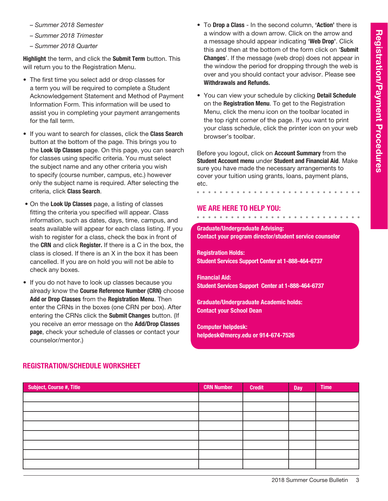- *Summer 2018 Semester*
- *Summer 2018 Trimester*
- *Summer 2018 Quarter*

Highlight the term, and click the Submit Term button. This will return you to the Registration Menu.

- The first time you select add or drop classes for a term you will be required to complete a Student Acknowledgement Statement and Method of Payment Information Form. This information will be used to assist you in completing your payment arrangements for the fall term.
- If you want to search for classes, click the Class Search button at the bottom of the page. This brings you to the Look Up Classes page. On this page, you can search for classes using specific criteria. You must select the subject name and any other criteria you wish to specify (course number, campus, etc.) however only the subject name is required. After selecting the criteria, click Class Search.
- On the Look Up Classes page, a listing of classes fitting the criteria you specified will appear. Class information, such as dates, days, time, campus, and seats available will appear for each class listing. If you wish to register for a class, check the box in front of the CRN and click Register. If there is a C in the box, the class is closed. If there is an X in the box it has been cancelled. If you are on hold you will not be able to check any boxes.
- If you do not have to look up classes because you already know the Course Reference Number (CRN) choose Add or Drop Classes from the Registration Menu. Then enter the CRNs in the boxes (one CRN per box). After entering the CRNs click the Submit Changes button. (If you receive an error message on the Add/Drop Classes page, check your schedule of classes or contact your counselor/mentor.)
- To Drop a Class In the second column, 'Action' there is a window with a down arrow. Click on the arrow and a message should appear indicating 'Web Drop'. Click this and then at the bottom of the form click on 'Submit Changes'. If the message (web drop) does not appear in the window the period for dropping through the web is over and you should contact your advisor. Please see Withdrawals and Refunds.
- You can view your schedule by clicking Detail Schedule on the Registration Menu. To get to the Registration Menu, click the menu icon on the toolbar located in the top right corner of the page. If you want to print your class schedule, click the printer icon on your web browser's toolbar.

Before you logout, click on Account Summary from the Student Account menu under Student and Financial Aid. Make sure you have made the necessary arrangements to cover your tuition using grants, loans, payment plans, etc.

## We are here to help you:

. . . . . . . . . . . . .

# Graduate/Undergraduate Advising: Contact your program director/student service counselor

Registration Holds: Student Services Support Center at 1-888-464-6737

Financial Aid: Student Services Support Center at 1-888-464-6737

Graduate/Undergraduate Academic holds: Contact your School Dean

Computer helpdesk: helpdesk@mercy.edu or 914-674-7526

| Subject, Course #, Title | <b>CRN Number</b> | <b>Credit</b> | Day | <b>Time</b> |
|--------------------------|-------------------|---------------|-----|-------------|
|                          |                   |               |     |             |
|                          |                   |               |     |             |
|                          |                   |               |     |             |
|                          |                   |               |     |             |
|                          |                   |               |     |             |
|                          |                   |               |     |             |
|                          |                   |               |     |             |
|                          |                   |               |     |             |

# Registration/Schedule Worksheet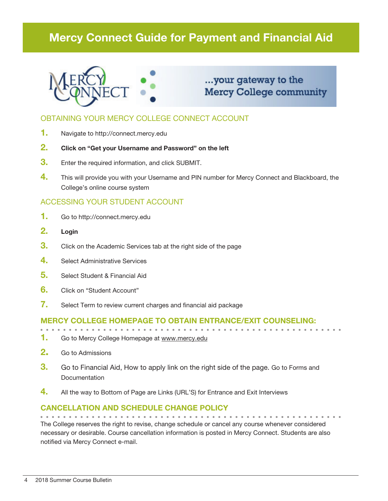# Mercy Connect Guide for Payment and Financial Aid



# ...your gateway to the **Mercy College community**

# OBTAINING YOUR MERCY COLLEGE CONNECT ACCOUNT

- 1. Navigate to http://connect.mercy.edu
- 2. Click on "Get your Username and Password" on the left
- **3.** Enter the required information, and click SUBMIT.
- 4. This will provide you with your Username and PIN number for Mercy Connect and Blackboard, the College's online course system

# ACCESSING YOUR STUDENT ACCOUNT

- 1. Go to http://connect.mercy.edu
- 2. Login
- **3.** Click on the Academic Services tab at the right side of the page
- 4. Select Administrative Services
- 5. Select Student & Financial Aid
- 6. Click on "Student Account"
- 7. Select Term to review current charges and financial aid package

## Mercy College homepage to obtain entrance/exit counseling:

- 1. Go to Mercy College Homepage at www.mercy.edu
- 2. Go to Admissions
- 3. Go to Financial Aid, How to apply link on the right side of the page. Go to Forms and **Documentation**
- 4. All the way to Bottom of Page are Links (URL'S) for Entrance and Exit Interviews

## Cancellation and Schedule Change Policy

The College reserves the right to revise, change schedule or cancel any course whenever considered necessary or desirable. Course cancellation information is posted in Mercy Connect. Students are also notified via Mercy Connect e-mail.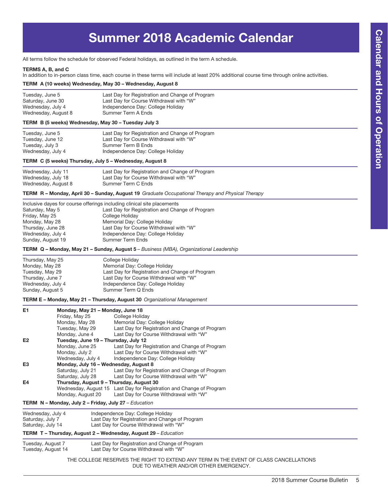# Summer 2018 Academic Calendar

All terms follow the schedule for observed Federal holidays, as outlined in the term A schedule.

#### TERMS A, B, and C

In addition to in-person class time, each course in these terms will include at least 20% additional course time through online activities.

#### TERM A (10 weeks) Wednesday, May 30 – Wednesday, August 8

| Tuesday, June 5     | Last Day for Registration and Change of Program |
|---------------------|-------------------------------------------------|
| Saturday, June 30   | Last Day for Course Withdrawal with "W"         |
| Wednesday, July 4   | Independence Day: College Holiday               |
| Wednesday, August 8 | Summer Term A Ends                              |

## TERM B (5 weeks) Wednesday, May 30 – Tuesday July 3

| Tuesday, June 5   | Last Day for Registration and Change of Program |
|-------------------|-------------------------------------------------|
| Tuesday, June 12  | Last Day for Course Withdrawal with "W"         |
| Tuesday, July 3   | Summer Term B Ends                              |
| Wednesday, July 4 | Independence Day: College Holiday               |

#### TERM C (5 weeks) Thursday, July 5 – Wednesday, August 8

| Wednesday, July 11  | Last Day for Registration and Change of Program |
|---------------------|-------------------------------------------------|
| Wednesday, July 18  | Last Day for Course Withdrawal with "W"         |
| Wednesday, August 8 | Summer Term C Ends                              |

#### TERM R – Monday, April 30 – Sunday, August 19 *Graduate Occupational Therapy and Physical Therapy*

| Inclusive dayes for course offerings including clinical site placements |
|-------------------------------------------------------------------------|
| Last Day for Registration and Change of Program                         |
| College Holiday                                                         |
| Memorial Day: College Holiday                                           |
| Last Day for Course Withdrawal with "W"                                 |
| Independence Day: College Holiday                                       |
| <b>Summer Term Ends</b>                                                 |
|                                                                         |

TERM Q – Monday, May 21 – Sunday, August 5 *– Business (MBA), Organizational Leadership*

| Thursday, May 25  | College Holiday                                 |
|-------------------|-------------------------------------------------|
| Monday, May 28    | Memorial Day: College Holiday                   |
| Tuesday, May 29   | Last Day for Registration and Change of Program |
| Thursday, June 7  | Last Day for Course Withdrawal with "W"         |
| Wednesday, July 4 | Independence Day: College Holiday               |
| Sunday, August 5  | Summer Term Q Ends                              |

#### TERM E – Monday, May 21 – Thursday, August 30 *Organizational Management*

| E <sub>1</sub> | Monday, May 21 - Monday, June 18         |                                                                      |
|----------------|------------------------------------------|----------------------------------------------------------------------|
|                | Friday, May 25                           | College Holiday                                                      |
|                | Monday, May 28                           | Memorial Day: College Holiday                                        |
|                | Tuesday, May 29                          | Last Day for Registration and Change of Program                      |
|                | Monday, June 4                           | Last Day for Course Withdrawal with "W"                              |
| E <sub>2</sub> | Tuesday, June 19 - Thursday, July 12     |                                                                      |
|                | Monday, June 25                          | Last Day for Registration and Change of Program                      |
|                | Monday, July 2                           | Last Day for Course Withdrawal with "W"                              |
|                | Wednesday, July 4                        | Independence Day: College Holiday                                    |
| E <sub>3</sub> | Monday, July 16 - Wednesday, August 8    |                                                                      |
|                | Saturday, July 21                        | Last Day for Registration and Change of Program                      |
|                | Saturday, July 28                        | Last Day for Course Withdrawal with "W"                              |
| E4             | Thursday, August 9 - Thursday, August 30 |                                                                      |
|                |                                          | Wednesday, August 15 Last Day for Registration and Change of Program |
|                | Monday, August 20                        | Last Day for Course Withdrawal with "W"                              |

#### TERM N – Monday, July 2 – Friday, July 27 *– Education*

| Wednesday, July 4 | Independence Day: College Holiday               |
|-------------------|-------------------------------------------------|
| Saturday, July 7  | Last Day for Registration and Change of Program |
| Saturday, July 14 | Last Day for Course Withdrawal with "W"         |
|                   |                                                 |

#### TERM T – Thursday, August 2 – Wednesday, August 29 *– Education*

| Tuesday, August 7  | Last Day for Registration and Change of Program |
|--------------------|-------------------------------------------------|
| Tuesday, August 14 | Last Day for Course Withdrawal with "W"         |

THE COLLEGE RESERVES THE RIGHT TO EXTEND ANY TERM IN THE EVENT OF CLASS CANCELLATIONS DUE TO WEATHER AND/OR OTHER EMERGENCY.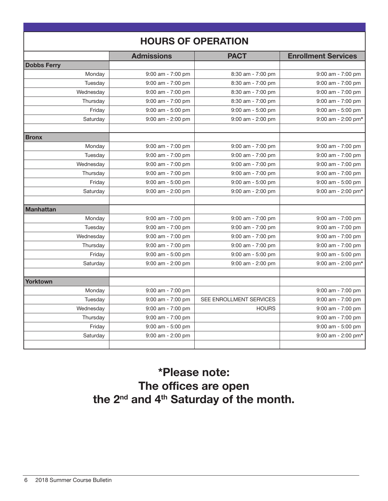|                    | <b>HOURS OF OPERATION</b> |                         |                            |
|--------------------|---------------------------|-------------------------|----------------------------|
|                    | <b>Admissions</b>         | <b>PACT</b>             | <b>Enrollment Services</b> |
| <b>Dobbs Ferry</b> |                           |                         |                            |
| Monday             | $9:00$ am - $7:00$ pm     | 8:30 am - 7:00 pm       | $9:00$ am - $7:00$ pm      |
| Tuesday            | $9:00$ am - 7:00 pm       | 8:30 am - 7:00 pm       | $9:00$ am - $7:00$ pm      |
| Wednesday          | 9:00 am - 7:00 pm         | 8:30 am - 7:00 pm       | $9:00$ am - $7:00$ pm      |
| Thursday           | $9:00$ am - 7:00 pm       | 8:30 am - 7:00 pm       | $9:00$ am - $7:00$ pm      |
| Friday             | $9:00$ am - 5:00 pm       | 9:00 am - 5:00 pm       | $9:00$ am - 5:00 pm        |
| Saturday           | $9:00$ am - 2:00 pm       | 9:00 am - 2:00 pm       | $9:00$ am - 2:00 pm*       |
|                    |                           |                         |                            |
| <b>Bronx</b>       |                           |                         |                            |
| Monday             | $9:00$ am - 7:00 pm       | 9:00 am - 7:00 pm       | $9:00$ am - $7:00$ pm      |
| Tuesday            | $9:00$ am - 7:00 pm       | $9:00$ am - $7:00$ pm   | $9:00$ am - $7:00$ pm      |
| Wednesday          | $9:00$ am - 7:00 pm       | 9:00 am - 7:00 pm       | 9:00 am - 7:00 pm          |
| Thursday           | $9:00$ am - 7:00 pm       | $9:00$ am - $7:00$ pm   | $9:00$ am - $7:00$ pm      |
| Friday             | $9:00$ am - 5:00 pm       | 9:00 am - 5:00 pm       | $9:00$ am - $5:00$ pm      |
| Saturday           | $9:00$ am - 2:00 pm       | $9:00$ am - 2:00 pm     | $9:00$ am - 2:00 pm*       |
|                    |                           |                         |                            |
| <b>Manhattan</b>   |                           |                         |                            |
| Monday             | $9:00$ am - $7:00$ pm     | $9:00$ am - $7:00$ pm   | $9:00$ am - 7:00 pm        |
| Tuesday            | 9:00 am - 7:00 pm         | 9:00 am - 7:00 pm       | 9:00 am - 7:00 pm          |
| Wednesday          | 9:00 am - 7:00 pm         | 9:00 am - 7:00 pm       | 9:00 am - 7:00 pm          |
| Thursday           | 9:00 am - 7:00 pm         | 9:00 am - 7:00 pm       | 9:00 am - 7:00 pm          |
| Friday             | 9:00 am - 5:00 pm         | $9:00$ am - $5:00$ pm   | 9:00 am - 5:00 pm          |
| Saturday           | $9:00$ am - 2:00 pm       | $9:00$ am - 2:00 pm     | $9:00$ am - 2:00 pm*       |
| <b>Yorktown</b>    |                           |                         |                            |
| Monday             | $9:00$ am - $7:00$ pm     |                         | 9:00 am - 7:00 pm          |
| Tuesday            | $9:00$ am - 7:00 pm       | SEE ENROLLMENT SERVICES | $9:00$ am - $7:00$ pm      |
| Wednesday          | 9:00 am - 7:00 pm         | <b>HOURS</b>            | 9:00 am - 7:00 pm          |
| Thursday           | $9:00$ am - 7:00 pm       |                         | $9:00$ am - $7:00$ pm      |
| Friday             | 9:00 am - 5:00 pm         |                         | 9:00 am - 5:00 pm          |
| Saturday           | $9:00$ am - 2:00 pm       |                         | 9:00 am - 2:00 pm*         |
|                    |                           |                         |                            |

# \*Please note: The offices are open the 2<sup>nd</sup> and 4<sup>th</sup> Saturday of the month.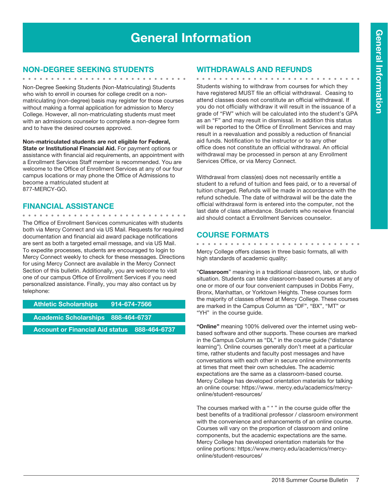# General Information

#### Non-Degree Seeking Students

Non-Degree Seeking Students (Non-Matriculating) Students who wish to enroll in courses for college credit on a nonmatriculating (non-degree) basis may register for those courses without making a formal application for admission to Mercy College. However, all non-matriculating students must meet with an admissions counselor to complete a non-degree form and to have the desired courses approved.

**Non-matriculated students are not eligible for Federal, State or Institutional Financial Aid.** For payment options or assistance with financial aid requirements, an appointment with a Enrollment Services Staff member is recommended. You are welcome to the Office of Enrollment Services at any of our four campus locations or may phone the Office of Admissions to become a matriculated student at 877-MERCY-GO.

## Financial Assistance

The Office of Enrollment Services communicates with students both via Mercy Connect and via US Mail. Requests for required documentation and financial aid award package notifications are sent as both a targeted email message, and via US Mail. To expedite processes, students are encouraged to login to Mercy Connect weekly to check for these messages. Directions for using Mercy Connect are available in the Mercy Connect Section of this bulletin. Additionally, you are welcome to visit one of our campus Office of Enrollment Services if you need personalized assistance. Finally, you may also contact us by telephone:

Athletic Scholarships 914-674-7566

Academic Scholarships 888-464-6737

Account or Financial Aid status 888-464-6737

## Withdrawals and Refunds

. . . . . . . . . . . . . . . . . . Students wishing to withdraw from courses for which they have registered MUST file an official withdrawal. Ceasing to attend classes does not constitute an official withdrawal. If you do not officially withdraw it will result in the issuance of a grade of "FW" which will be calculated into the student's GPA as an "F" and may result in dismissal. In addition this status will be reported to the Office of Enrollment Services and may result in a reevaluation and possibly a reduction of financial aid funds. Notification to the instructor or to any other office does not constitute an official withdrawal. An official withdrawal may be processed in person at any Enrollment Services Office, or via Mercy Connect.

Withdrawal from class(es) does not necessarily entitle a student to a refund of tuition and fees paid, or to a reversal of tuition charged. Refunds will be made in accordance with the refund schedule. The date of withdrawal will be the date the official withdrawal form is entered into the computer, not the last date of class attendance. Students who receive financial aid should contact a Enrollment Services counselor.

## COURSE FORMATS

Mercy College offers classes in three basic formats, all with high standards of academic quality:

"**Classroom**" meaning in a traditional classroom, lab, or studio situation. Students can take classroom-based courses at any of one or more of our four convenient campuses in Dobbs Ferry, Bronx, Manhattan, or Yorktown Heights. These courses form the majority of classes offered at Mercy College. These courses are marked in the Campus Column as "DF", "BX", "MT" or "YH" in the course guide.

**"Online"** meaning 100% delivered over the internet using webbased software and other supports. These courses are marked in the Campus Column as "DL" in the course guide ("distance learning"). Online courses generally don't meet at a particular time, rather students and faculty post messages and have conversations with each other in secure online environments at times that meet their own schedules. The academic expectations are the same as a classroom-based course. Mercy College has developed orientation materials for talking an online course: https://www. mercy.edu/academics/mercyonline/student-resources/

The courses marked with a " \* " in the course guide offer the best benefits of a traditional professor / classroom environment with the convenience and enhancements of an online course. Courses will vary on the proportion of classroom and online components, but the academic expectations are the same. Mercy College has developed orientation materials for the online portions: https://www.mercy.edu/academics/mercyonline/student-resources/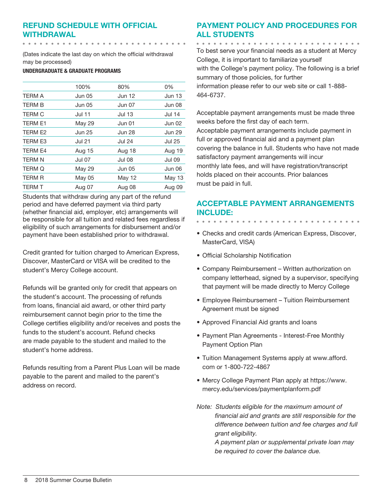# Refund Schedule with Official Withdrawal

(Dates indicate the last day on which the official withdrawal may be processed)

UNDERGRADUATE & GRADUATE PROGRAMS

. . . . . . . . . . . . . . . . .

|                | 100%          | 80%           | 0%            |
|----------------|---------------|---------------|---------------|
| <b>TERM A</b>  | <b>Jun 05</b> | Jun 12        | <b>Jun 13</b> |
| <b>TERM B</b>  | <b>Jun 05</b> | <b>Jun 07</b> | Jun 08        |
| <b>TERM C</b>  | <b>Jul 11</b> | Jul 13        | Jul 14        |
| <b>TERM E1</b> | May 29        | Jun 01        | Jun 02        |
| TERM E2        | <b>Jun 25</b> | <b>Jun 28</b> | <b>Jun 29</b> |
| <b>TERM E3</b> | <b>Jul 21</b> | <b>Jul 24</b> | <b>Jul 25</b> |
| <b>TERM E4</b> | Aug 15        | Aug 18        | Aug 19        |
| <b>TERM N</b>  | <b>Jul 07</b> | <b>Jul 08</b> | <b>Jul 09</b> |
| <b>TERM Q</b>  | May 29        | <b>Jun 05</b> | Jun 06        |
| <b>TERM R</b>  | May 05        | May 12        | May 13        |
| <b>TERM T</b>  | Aug 07        | Aug 08        | Aug 09        |

Students that withdraw during any part of the refund period and have deferred payment via third party (whether financial aid, employer, etc) arrangements will be responsible for all tuition and related fees regardless if eligibility of such arrangements for disbursement and/or payment have been established prior to withdrawal.

Credit granted for tuition charged to American Express, Discover, MasterCard or VISA will be credited to the student's Mercy College account.

Refunds will be granted only for credit that appears on the student's account. The processing of refunds from loans, financial aid award, or other third party reimbursement cannot begin prior to the time the College certifies eligibility and/or receives and posts the funds to the student's account. Refund checks are made payable to the student and mailed to the student's home address.

Refunds resulting from a Parent Plus Loan will be made payable to the parent and mailed to the parent's address on record.

# Payment Policy and Procedures for all Students

. . . . . . . . . . . . . . . . . . . . . . . . . . . .

To best serve your financial needs as a student at Mercy College, it is important to familiarize yourself with the College's payment policy. The following is a brief summary of those policies, for further information please refer to our web site or call 1-888- 464-6737.

Acceptable payment arrangements must be made three weeks before the first day of each term. Acceptable payment arrangements include payment in full or approved financial aid and a payment plan covering the balance in full. Students who have not made satisfactory payment arrangements will incur monthly late fees, and will have registration/transcript holds placed on their accounts. Prior balances must be paid in full.

# Acceptable Payment Arrangements include:

- Checks and credit cards (American Express, Discover, MasterCard, VISA)
- Official Scholarship Notification
- Company Reimbursement Written authorization on company letterhead, signed by a supervisor, specifying that payment will be made directly to Mercy College
- Employee Reimbursement Tuition Reimbursement Agreement must be signed
- Approved Financial Aid grants and loans
- Payment Plan Agreements Interest-Free Monthly Payment Option Plan
- Tuition Management Systems apply at www.afford. com or 1-800-722-4867
- Mercy College Payment Plan apply at https://www. mercy.edu/services/paymentplanform.pdf
- *Note: Students eligible for the maximum amount of financial aid and grants are still responsible for the difference between tuition and fee charges and full grant eligibility.*

*A payment plan or supplemental private loan may be required to cover the balance due.*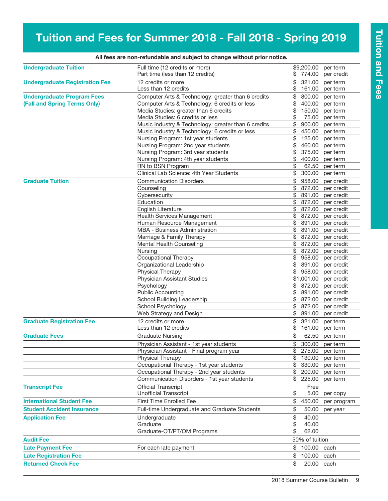# Tuition and Fees for Summer 2018 - Fall 2018 - Spring 2019

| <b>Undergraduate Tuition</b>          | Full time (12 credits or more)<br>Part time (less than 12 credits) | \$.      | \$9,200.00<br>774.00 | per term<br>per credit |
|---------------------------------------|--------------------------------------------------------------------|----------|----------------------|------------------------|
| <b>Undergraduate Registration Fee</b> | 12 credits or more<br>Less than 12 credits                         | \$<br>\$ | 321.00<br>161.00     | per term<br>per term   |
| <b>Undergraduate Program Fees</b>     | Computer Arts & Technology: greater than 6 credits                 | \$       | 800.00               | per term               |
| (Fall and Spring Terms Only)          | Computer Arts & Technology: 6 credits or less                      | \$       | 400.00               | per term               |
|                                       | Media Studies: greater than 6 credits                              | \$       | 150.00               | per term               |
|                                       | Media Studies: 6 credits or less                                   | \$       | 75.00                | per term               |
|                                       | Music Industry & Technology: greater than 6 credits                | \$       | 900.00               | per term               |
|                                       | Music Industry & Technology: 6 credits or less                     | \$       | 450.00               | per term               |
|                                       | Nursing Program: 1st year students                                 | \$       | 125.00               | per term               |
|                                       | Nursing Program: 2nd year students                                 | \$       | 460.00               | per term               |
|                                       | Nursing Program: 3rd year students                                 | \$       | 375.00               | per term               |
|                                       | Nursing Program: 4th year students                                 | \$       | 400.00               | per term               |
|                                       | RN to BSN Program                                                  | \$       | 62.50                | per term               |
|                                       | Clinical Lab Science: 4th Year Students                            | \$       | 300.00               | per term               |
| <b>Graduate Tuition</b>               | <b>Communication Disorders</b>                                     | \$       | 958.00               | per credit             |
|                                       | Counseling                                                         | \$       | 872.00               | per credit             |
|                                       | Cybersecurity                                                      | \$       | 891.00               | per credit             |
|                                       | Education                                                          | \$       | 872.00               | per credit             |
|                                       | English Literature                                                 | \$       | 872.00               | per credit             |
|                                       | <b>Health Services Management</b>                                  | \$       | 872.00               | per credit             |
|                                       | Human Resource Management                                          | \$       | 891.00               | per credit             |
|                                       | MBA - Business Administration                                      | \$       | 891.00               | per credit             |
|                                       | Marriage & Family Therapy                                          | \$       | 872.00               | per credit             |
|                                       | Mental Health Counseling                                           | \$       | 872.00               | per credit             |
|                                       | Nursing                                                            | \$       | 872.00               | per credit             |
|                                       | Occupational Therapy                                               | \$       | 958.00               | per credit             |
|                                       | Organizational Leadership                                          | \$       | 891.00               | per credit             |
|                                       | Physical Therapy                                                   | \$       | 958.00               | per credit             |
|                                       | Physician Assistant Studies                                        |          | \$1,001.00           | per credit             |
|                                       | Psychology                                                         | \$       | 872.00               | per credit             |
|                                       | <b>Public Accounting</b>                                           | \$       | 891.00               | per credit             |
|                                       | School Building Leadership                                         | \$       | 872.00               | per credit             |
|                                       | School Psychology                                                  | \$       | 872.00               | per credit             |
|                                       | Web Strategy and Design                                            | \$       | 891.00               | per credit             |
| <b>Graduate Registration Fee</b>      | 12 credits or more<br>Less than 12 credits                         | \$<br>\$ | 321.00<br>161.00     | per term<br>per term   |
| <b>Graduate Fees</b>                  | <b>Graduate Nursing</b>                                            | \$       | 62.50                | per term               |
|                                       | Physician Assistant - 1st year students                            | \$       | 300.00               | per term               |
|                                       | Physician Assistant - Final program year                           | \$       | 275.00               | per term               |
|                                       | Physical Therapy                                                   | \$       | 130.00               | per term               |
|                                       | Occupational Therapy - 1st year students                           | \$       | 330.00               | per term               |
|                                       | Occupational Therapy - 2nd year students                           | \$       | 200.00               | per term               |
|                                       | Communication Disorders - 1st year students                        |          | \$225.00             | per term               |
| <b>Transcript Fee</b>                 | <b>Official Transcript</b><br><b>Unofficial Transcript</b>         | \$       | Free<br>5.00         | per copy               |
| <b>International Student Fee</b>      | <b>First Time Enrolled Fee</b>                                     | \$       | 450.00               | per program            |
| <b>Student Accident Insurance</b>     | Full-time Undergraduate and Graduate Students                      | \$       | 50.00                | per year               |
| <b>Application Fee</b>                | Undergraduate                                                      | \$       | 40.00                |                        |
|                                       | Graduate                                                           | \$       | 40.00                |                        |
|                                       | Graduate-OT/PT/OM Programs                                         | \$       | 62.00                |                        |
|                                       |                                                                    |          |                      |                        |
| <b>Audit Fee</b>                      |                                                                    |          | 50% of tuition       |                        |
| <b>Late Payment Fee</b>               | For each late payment                                              | \$       | 100.00               | each                   |
| <b>Late Registration Fee</b>          |                                                                    | \$       | 100.00               | each                   |
| <b>Returned Check Fee</b>             |                                                                    | \$       | 20.00 each           |                        |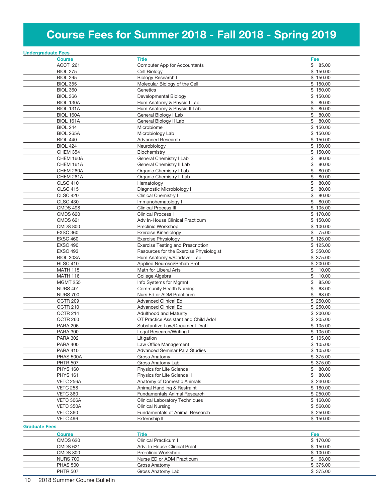# Course Fees for Summer 2018 - Fall 2018 - Spring 2019

| <b>Undergraduate Fees</b>          |                                                       |                      |
|------------------------------------|-------------------------------------------------------|----------------------|
| <b>Course</b>                      | <b>Title</b>                                          | Fee                  |
| ACCT 261                           | Computer App for Accountants                          | \$85.00              |
| <b>BIOL 275</b>                    | Cell Biology                                          | \$150.00             |
| <b>BIOL 295</b>                    | <b>Biology Research I</b>                             | \$150.00             |
| <b>BIOL 355</b>                    | Molecular Biology of the Cell                         | \$150.00             |
| <b>BIOL 360</b>                    | Genetics                                              | \$150.00             |
| <b>BIOL 366</b>                    | Developmental Biology                                 | \$150.00             |
| BIOL 130A                          | Hum Anatomy & Physio I Lab                            | \$<br>80.00          |
|                                    |                                                       |                      |
| <b>BIOL 131A</b>                   | Hum Anatomy & Physio II Lab                           | \$<br>80.00          |
| <b>BIOL 160A</b>                   | General Biology I Lab                                 | \$<br>80.00          |
| <b>BIOL 161A</b>                   | General Biology II Lab                                | \$<br>80.00          |
| <b>BIOL 244</b>                    | Microbiome                                            | \$150.00             |
| <b>BIOL 265A</b>                   | Microbiology Lab                                      | \$150.00             |
| <b>BIOL 440</b>                    | <b>Advanced Research</b>                              | \$150.00             |
| <b>BIOL 424</b>                    | Neurobiology                                          | \$150.00             |
| <b>CHEM 354</b>                    | Biochemistry                                          | \$150.00             |
| CHEM 160A                          | General Chemistry I Lab                               | \$<br>80.00          |
| CHEM 161A                          | General Chemistry II Lab                              | \$<br>80.00          |
| CHEM 260A                          | Organic Chemistry I Lab                               | \$<br>80.00          |
| CHEM 261A                          | Organic Chemistry II Lab                              | \$<br>80.00          |
| <b>CLSC 410</b>                    | Hematology                                            | \$<br>80.00          |
| <b>CLSC 415</b>                    | Diagnostic Microbiology I                             | \$<br>80.00          |
| <b>CLSC 420</b>                    | <b>Clinical Chemistry I</b>                           | \$<br>80.00          |
| <b>CLSC 430</b>                    | Immunohematology I                                    | \$<br>80.00          |
| <b>CMDS 498</b>                    | <b>Clinical Process III</b>                           | \$105.00             |
| <b>CMDS 620</b>                    | <b>Clinical Process I</b>                             | \$170.00             |
| <b>CMDS 621</b>                    | Adv In-House Clinical Practicum                       | \$150.00             |
| <b>CMDS 800</b>                    | Preclinic Workshop                                    | \$100.00             |
| <b>EXSC 360</b>                    | Exercise Kinesiology                                  | \$<br>75.00          |
| <b>EXSC 460</b>                    | <b>Exercise Physiology</b>                            | \$125.00             |
| <b>EXSC 490</b>                    | <b>Exercise Testing and Prescription</b>              | \$125.00             |
| <b>EXSC 493</b>                    | Resources for the Exercise Physiologist               | \$350.00             |
| BIOL 303A                          | Hum Anatomy w/Cadaver Lab                             | \$375.00             |
| <b>HLSC 410</b>                    | Applied Neurosci/Rehab Prof                           | \$200.00             |
| <b>MATH 115</b>                    | Math for Liberal Arts                                 | \$<br>10.00          |
| <b>MATH 116</b>                    | College Algebra                                       | \$<br>10.00          |
| <b>MGMT 255</b>                    | Info Systems for Mgmnt                                | \$<br>85.00          |
| <b>NURS 401</b>                    | Community Health Nursing                              | \$<br>68.00          |
| <b>NURS 700</b>                    | Nurs Ed or ADM Practicum                              | \$<br>68.00          |
| OCTR 209                           | <b>Advanced Clinical Ed</b>                           | \$250.00             |
| OCTR 210                           | <b>Advanced Clinical Ed</b>                           | \$250.00             |
| OCTR 214                           | <b>Adulthood and Maturity</b>                         | \$200.00             |
| OCTR 260                           | OT Practice Assistant and Child Adol                  | \$205.00             |
| <b>PARA 206</b>                    | Substantive Law/Document Draft                        | \$105.00             |
| <b>PARA 300</b>                    | Legal Research/Writing II                             | \$105.00             |
|                                    |                                                       |                      |
| <b>PARA 302</b>                    | Litigation<br>Law Office Management                   | \$105.00<br>\$105.00 |
| <b>PARA 400</b>                    |                                                       | \$105.00             |
| <b>PARA 410</b><br>PHAS 500A       | <b>Advanced Seminar Para Studies</b><br>Gross Anatomy | \$375.00             |
|                                    | Gross Anatomy Lab                                     | \$ 375.00            |
| <b>PHTR 507</b><br><b>PHYS 160</b> | Physics for Life Science I                            | \$80.00              |
|                                    |                                                       |                      |
| <b>PHYS 161</b>                    | Physics for Life Science II                           | \$<br>80.00          |
| VETC 256A                          | Anatomy of Domestic Animals                           | \$240.00             |
| <b>VETC 258</b>                    | Animal Handling & Restraint                           | \$180.00             |
| <b>VETC 360</b>                    | <b>Fundamentals Animal Research</b>                   | \$250.00             |
| VETC 306A                          | <b>Clinical Laboratory Techniques</b>                 | \$160.00             |
| VETC 350A                          | <b>Clinical Nursing</b>                               | \$560.00             |
| <b>VETC 360</b>                    | <b>Fundamentals of Animal Research</b>                | \$250.00             |
| <b>VETC 496</b>                    | Externship II                                         | \$150.00             |
| <b>Graduate Fees</b>               |                                                       |                      |
| <b>Course</b>                      | Title                                                 | Fee                  |
| <b>CMDS 620</b>                    | Clinical Practicum I                                  | \$170.00             |
| <b>CMDS 621</b>                    | Adv. In House Clinical Pract                          | \$150.00             |
| <b>CMDS 800</b>                    | Pre-clinic Workshop                                   | \$100.00             |

NURS 700 **Nurse ED or ADM Practicum** \$ 68.00 PHAS 500 Gross Anatomy **6 Gross Anatomy** \$ 375.00 PHTR 507 Gross Anatomy Lab 375.00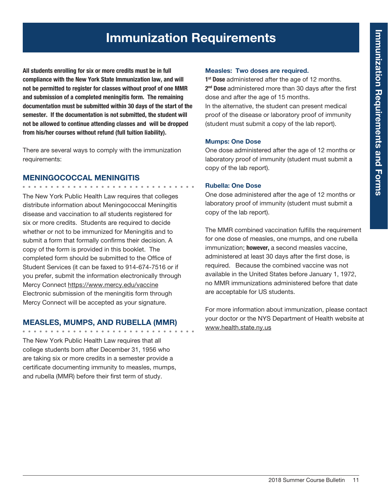# Immunization Requirements

All students enrolling for six or more credits must be in full compliance with the New York State Immunization law, and will not be permitted to register for classes without proof of one MMR and submission of a completed meningitis form. The remaining documentation must be submitted within 30 days of the start of the semester. If the documentation is not submitted, the student will not be allowed to continue attending classes and will be dropped from his/her courses without refund (full tuition liability).

There are several ways to comply with the immunization requirements:

## MENINGOCOCCAL MENINGITIS

. . . . . . . . . . . . . . . .

The New York Public Health Law requires that colleges distribute information about Meningococcal Meningitis disease and vaccination to *all* students registered for six or more credits. Students are required to decide whether or not to be immunized for Meningitis and to submit a form that formally confirms their decision. A copy of the form is provided in this booklet. The completed form should be submitted to the Office of Student Services (it can be faxed to 914-674-7516 or if you prefer, submit the information electronically through Mercy Connect https://www.mercy.edu/vaccine Electronic submission of the meningitis form through Mercy Connect will be accepted as your signature.

## MEASLES, MUMPS, AND RUBELLA (MMR)

The New York Public Health Law requires that all college students born after December 31, 1956 who are taking six or more credits in a semester provide a certificate documenting immunity to measles, mumps, and rubella (MMR) before their first term of study.

### Measles: Two doses are required.

1<sup>st</sup> Dose administered after the age of 12 months. 2<sup>nd</sup> Dose administered more than 30 days after the first dose and after the age of 15 months. In the alternative, the student can present medical proof of the disease or laboratory proof of immunity

(student must submit a copy of the lab report).

## Mumps: One Dose

One dose administered after the age of 12 months or laboratory proof of immunity (student must submit a copy of the lab report).

## Rubella: One Dose

One dose administered after the age of 12 months or laboratory proof of immunity (student must submit a copy of the lab report).

The MMR combined vaccination fulfills the requirement for one dose of measles, one mumps, and one rubella immunization; however, a second measles vaccine, administered at least 30 days after the first dose, is required. Because the combined vaccine was not available in the United States before January 1, 1972, no MMR immunizations administered before that date are acceptable for US students.

For more information about immunization, please contact your doctor or the NYS Department of Health website at www.health.state.ny.us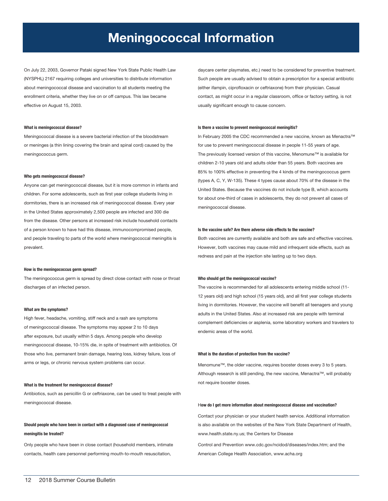# Meningococcal Information

On July 22, 2003, Governor Pataki signed New York State Public Health Law (NYSPHL) 2167 requiring colleges and universities to distribute information about meningococcal disease and vaccination to all students meeting the enrollment criteria, whether they live on or off campus. This law became effective on August 15, 2003.

#### What is meningococcal disease?

Meningococcal disease is a severe bacterial infection of the bloodstream or meninges (a thin lining covering the brain and spinal cord) caused by the meningococcus germ.

#### Who gets meningococcal disease?

Anyone can get meningococcal disease, but it is more common in infants and children. For some adolescents, such as first year college students living in dormitories, there is an increased risk of meningococcal disease. Every year in the United States approximately 2,500 people are infected and 300 die from the disease. Other persons at increased risk include household contacts of a person known to have had this disease, immunocompromised people, and people traveling to parts of the world where meningococcal meningitis is prevalent.

#### How is the meningococcus germ spread?

The meningococcus germ is spread by direct close contact with nose or throat discharges of an infected person.

#### What are the symptoms?

High fever, headache, vomiting, stiff neck and a rash are symptoms of meningococcal disease. The symptoms may appear 2 to 10 days after exposure, but usually within 5 days. Among people who develop meningococcal disease, 10-15% die, in spite of treatment with antibiotics. Of those who live, permanent brain damage, hearing loss, kidney failure, loss of arms or legs, or chronic nervous system problems can occur.

#### What is the treatment for meningococcal disease?

Antibiotics, such as penicillin G or ceftriaxone, can be used to treat people with meningococcal disease.

## Should people who have been in contact with a diagnosed case of meningococcal meningitis be treated?

Only people who have been in close contact (household members, intimate contacts, health care personnel performing mouth-to-mouth resuscitation,

daycare center playmates, etc.) need to be considered for preventive treatment. Such people are usually advised to obtain a prescription for a special antibiotic (either ifampin, ciprofloxacin or ceftriaxone) from their physician. Casual contact, as might occur in a regular classroom, office or factory setting, is not usually significant enough to cause concern.

#### Is there a vaccine to prevent meningococcal meningitis?

In February 2005 the CDC recommended a new vaccine, known as Menactra™ for use to prevent meningococcal disease in people 11-55 years of age. The previously licensed version of this vaccine, Menomune™ is available for children 2-10 years old and adults older than 55 years. Both vaccines are 85% to 100% effective in preventing the 4 kinds of the meningococcus germ (types A, C, Y, W-135). These 4 types cause about 70% of the disease in the United States. Because the vaccines do not include type B, which accounts for about one-third of cases in adolescents, they do not prevent all cases of meningococcal disease.

#### Is the vaccine safe? Are there adverse side effects to the vaccine?

Both vaccines are currently available and both are safe and effective vaccines. However, both vaccines may cause mild and infrequent side effects, such as redness and pain at the injection site lasting up to two days.

#### Who should get the meningococcal vaccine?

The vaccine is recommended for all adolescents entering middle school (11- 12 years old) and high school (15 years old), and all first year college students living in dormitories. However, the vaccine will benefit all teenagers and young adults in the United States. Also at increased risk are people with terminal complement deficiencies or asplenia, some laboratory workers and travelers to endemic areas of the world.

#### What is the duration of protection from the vaccine?

Menomune™, the older vaccine, requires booster doses every 3 to 5 years. Although research is still pending, the new vaccine, Menactra™, will probably not require booster doses.

#### How do I get more information about meningococcal disease and vaccination?

Contact your physician or your student health service. Additional information is also available on the websites of the New York State Department of Health, www.health.state.ny.us; the Centers for Disease

Control and Prevention www.cdc.gov/ncidod/diseases/index.htm; and the American College Health Association, www.acha.org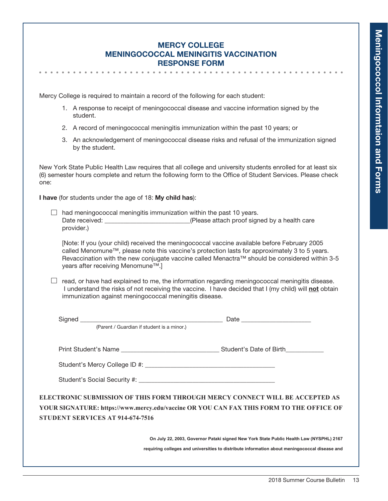# Mercy College Meningococcal Meningitis Vaccination Response Form

Mercy College is required to maintain a record of the following for each student:

- 1. A response to receipt of meningococcal disease and vaccine information signed by the student.
- 2. A record of meningococcal meningitis immunization within the past 10 years; or
- 3. An acknowledgement of meningococcal disease risks and refusal of the immunization signed by the student.

New York State Public Health Law requires that all college and university students enrolled for at least six (6) semester hours complete and return the following form to the Office of Student Services. Please check one:

I have (for students under the age of 18: My child has):

 $\Box$  had meningococcal meningitis immunization within the past 10 years. Date received: <br>  $(Please attach proof signed by a health care)$ provider.)

 [Note: If you (your child) received the meningococcal vaccine available before February 2005 called Menomune™, please note this vaccine's protection lasts for approximately 3 to 5 years. Revaccination with the new conjugate vaccine called Menactra™ should be considered within 3-5 years after receiving Menomune™.]

 $\Box$  read, or have had explained to me, the information regarding meningococcal meningitis disease. I understand the risks of not receiving the vaccine. I have decided that I (my child) will not obtain immunization against meningococcal meningitis disease.

|                                         | (Parent / Guardian if student is a minor.) |                                                                                                                                                                         |  |
|-----------------------------------------|--------------------------------------------|-------------------------------------------------------------------------------------------------------------------------------------------------------------------------|--|
|                                         |                                            |                                                                                                                                                                         |  |
|                                         |                                            |                                                                                                                                                                         |  |
|                                         |                                            |                                                                                                                                                                         |  |
|                                         |                                            |                                                                                                                                                                         |  |
| <b>STUDENT SERVICES AT 914-674-7516</b> |                                            | ELECTRONIC SUBMISSION OF THIS FORM THROUGH MERCY CONNECT WILL BE ACCEPTED AS<br>YOUR SIGNATURE: https://www.mercy.edu/vaccine OR YOU CAN FAX THIS FORM TO THE OFFICE OF |  |
|                                         |                                            | On July 22, 2003, Governor Pataki signed New York State Public Health Law (NYSPHL) 2167                                                                                 |  |
|                                         |                                            | requiring colleges and universities to distribute information about meningococcal disease and                                                                           |  |
|                                         |                                            |                                                                                                                                                                         |  |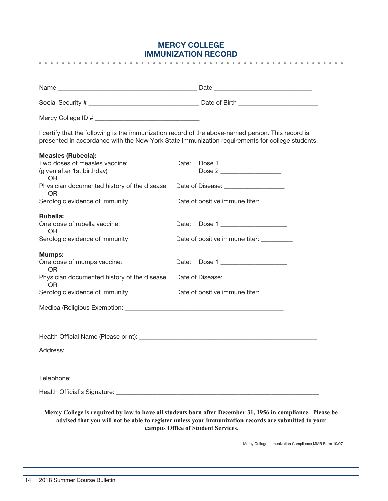# Mercy College Immunization Record

|                                                                          | <b>IMMUNIZATION RECORD</b><br>.                                                                                                                                                                                                                           |
|--------------------------------------------------------------------------|-----------------------------------------------------------------------------------------------------------------------------------------------------------------------------------------------------------------------------------------------------------|
|                                                                          |                                                                                                                                                                                                                                                           |
|                                                                          |                                                                                                                                                                                                                                                           |
|                                                                          |                                                                                                                                                                                                                                                           |
|                                                                          |                                                                                                                                                                                                                                                           |
|                                                                          | I certify that the following is the immunization record of the above-named person. This record is<br>presented in accordance with the New York State Immunization requirements for college students.                                                      |
| <b>Measles (Rubeola):</b>                                                |                                                                                                                                                                                                                                                           |
| Two doses of measles vaccine:<br>(given after 1st birthday)<br><b>OR</b> | Date:<br>Dose 1                                                                                                                                                                                                                                           |
| Physician documented history of the disease<br>0R                        | Date of Disease: _____________________                                                                                                                                                                                                                    |
| Serologic evidence of immunity                                           | Date of positive immune titer:                                                                                                                                                                                                                            |
| Rubella:<br>One dose of rubella vaccine:<br><b>OR</b>                    | Date: Dose 1                                                                                                                                                                                                                                              |
| Serologic evidence of immunity                                           | Date of positive immune titer: __________                                                                                                                                                                                                                 |
| <b>Mumps:</b><br>One dose of mumps vaccine:                              | Date: Dose 1                                                                                                                                                                                                                                              |
| <b>OR</b><br>Physician documented history of the disease<br><b>OR</b>    | Date of Disease: _______________________                                                                                                                                                                                                                  |
| Serologic evidence of immunity                                           | Date of positive immune titer: __________                                                                                                                                                                                                                 |
|                                                                          |                                                                                                                                                                                                                                                           |
|                                                                          |                                                                                                                                                                                                                                                           |
|                                                                          |                                                                                                                                                                                                                                                           |
|                                                                          |                                                                                                                                                                                                                                                           |
|                                                                          |                                                                                                                                                                                                                                                           |
|                                                                          |                                                                                                                                                                                                                                                           |
|                                                                          | Mercy College is required by law to have all students born after December 31, 1956 in compliance. Please be<br>advised that you will not be able to register unless your immunization records are submitted to your<br>campus Office of Student Services. |
|                                                                          | Mercy College Immunization Compliance MMR Form 10/07                                                                                                                                                                                                      |
|                                                                          |                                                                                                                                                                                                                                                           |
|                                                                          |                                                                                                                                                                                                                                                           |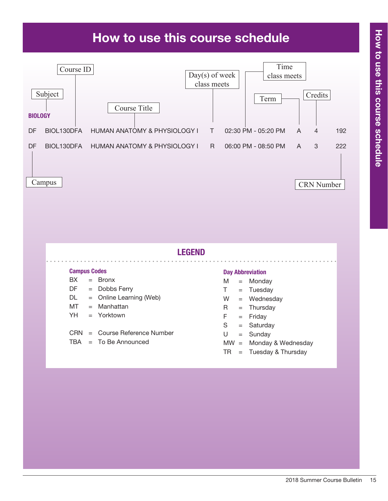# How to use this course schedule



- CRN = Course Reference Number
- $TBA = To Be Announced$
- $S =$  Saturday
- $U =$  Sunday
- MW = Monday & Wednesday
- $TR = Tuesday & Thursday$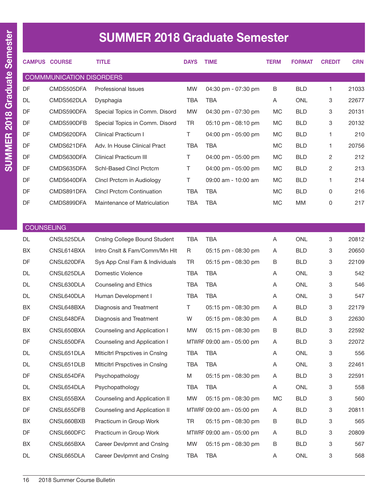|     | <b>CAMPUS COURSE</b>            | <b>TITLE</b>                     | <b>DAYS</b> | <b>TIME</b>                           | TERM      | <b>FORMAT</b> | <b>CREDIT</b> | <b>CRN</b> |
|-----|---------------------------------|----------------------------------|-------------|---------------------------------------|-----------|---------------|---------------|------------|
|     | <b>COMMMUNICATION DISORDERS</b> |                                  |             |                                       |           |               |               |            |
| DF  | CMDS505DFA                      | Professional Issues              | <b>MW</b>   | 04:30 pm - 07:30 pm                   | B         | <b>BLD</b>    | 1             | 21033      |
| DL. | CMDS562DLA                      | Dysphagia                        | TBA         | <b>TBA</b>                            | A         | <b>ONL</b>    | 3             | 22677      |
| DF  | CMDS590DFA                      | Special Topics in Comm. Disord   | <b>MW</b>   | 04:30 pm - 07:30 pm                   | MC.       | <b>BLD</b>    | 3             | 20131      |
| DF  | CMDS590DFB                      | Special Topics in Comm. Disord   | TR          | $05:10 \text{ pm} - 08:10 \text{ pm}$ | МC        | <b>BLD</b>    | 3             | 20132      |
| DF  | CMDS620DFA                      | Clinical Practicum I             | Τ           | $04:00 \text{ pm} - 05:00 \text{ pm}$ | МC        | <b>BLD</b>    | 1             | 210        |
| DF  | CMDS621DFA                      | Adv. In House Clinical Pract     | TBA         | <b>TBA</b>                            | <b>MC</b> | <b>BLD</b>    |               | 20756      |
| DF  | CMDS630DFA                      | <b>Clinical Practicum III</b>    | Τ           | $04:00 \text{ pm} - 05:00 \text{ pm}$ | MC.       | <b>BLD</b>    | 2             | 212        |
| DF  | CMDS635DFA                      | Schl-Based Clncl Prctcm          | Τ           | $04:00 \text{ pm} - 05:00 \text{ pm}$ | MC.       | <b>BLD</b>    | 2             | 213        |
| DF  | CMDS640DFA                      | Cincl Prctcm in Audiology        | T           | 09:00 am - 10:00 am                   | <b>MC</b> | <b>BLD</b>    | 1             | 214        |
| DF  | CMDS891DFA                      | <b>CIncl Prctcm Continuation</b> | TBA         | TBA                                   | <b>MC</b> | <b>BLD</b>    | 0             | 216        |
| DF  | CMDS899DFA                      | Maintenance of Matriculation     | TBA         | <b>TBA</b>                            | MC.       | МM            | 0             | 217        |

|  | <b>COUNSELING</b> |
|--|-------------------|
|  |                   |

| <b>DL</b> | CNSL525DLA | Cnsing College Bound Student          | <b>TBA</b> | <b>TBA</b>                | A         | <b>ONL</b> | 3 | 20812 |
|-----------|------------|---------------------------------------|------------|---------------------------|-----------|------------|---|-------|
| <b>BX</b> | CNSL614BXA | Intro Cnslt & Fam/Comm/Mn Hlt         | R          | 05:15 pm - 08:30 pm       | A         | <b>BLD</b> | 3 | 20650 |
| DF        | CNSL620DFA | Sys App Cnsl Fam & Individuals        | <b>TR</b>  | 05:15 pm - 08:30 pm       | B         | <b>BLD</b> | 3 | 22109 |
| <b>DL</b> | CNSL625DLA | Domestic Violence                     | <b>TBA</b> | <b>TBA</b>                | A         | <b>ONL</b> | 3 | 542   |
| <b>DL</b> | CNSL630DLA | Counseling and Ethics                 | <b>TBA</b> | <b>TBA</b>                | A         | <b>ONL</b> | 3 | 546   |
| <b>DL</b> | CNSL640DLA | Human Development I                   | <b>TBA</b> | <b>TBA</b>                | A         | <b>ONL</b> | 3 | 547   |
| <b>BX</b> | CNSL648BXA | Diagnosis and Treatment               | T          | $05:15$ pm - $08:30$ pm   | A         | <b>BLD</b> | 3 | 22179 |
| DF        | CNSL648DFA | Diagnosis and Treatment               | W          | 05:15 pm - 08:30 pm       | A         | <b>BLD</b> | 3 | 22630 |
| <b>BX</b> | CNSL650BXA | Counseling and Application I          | <b>MW</b>  | 05:15 pm - 08:30 pm       | B         | <b>BLD</b> | 3 | 22592 |
| <b>DF</b> | CNSL650DFA | Counseling and Application I          |            | MTWRF 09:00 am - 05:00 pm | A         | <b>BLD</b> | 3 | 22072 |
| <b>DL</b> | CNSL651DLA | <b>Miticitri Prspctives in Cnsing</b> | <b>TBA</b> | <b>TBA</b>                | A         | <b>ONL</b> | 3 | 556   |
| <b>DL</b> | CNSL651DLB | <b>Miticitri Prspctives in Cnsing</b> | <b>TBA</b> | <b>TBA</b>                | A         | <b>ONL</b> | 3 | 22461 |
| DF        | CNSL654DFA | Psychopathology                       | M          | 05:15 pm - 08:30 pm       | A         | <b>BLD</b> | 3 | 22591 |
| <b>DL</b> | CNSL654DLA | Psychopathology                       | <b>TBA</b> | <b>TBA</b>                | A         | <b>ONL</b> | 3 | 558   |
| <b>BX</b> | CNSL655BXA | Counseling and Application II         | <b>MW</b>  | 05:15 pm - 08:30 pm       | <b>MC</b> | <b>BLD</b> | 3 | 560   |
| DF        | CNSL655DFB | Counseling and Application II         |            | MTWRF 09:00 am - 05:00 pm | A         | <b>BLD</b> | 3 | 20811 |
| <b>BX</b> | CNSL660BXB | Practicum in Group Work               | <b>TR</b>  | 05:15 pm - 08:30 pm       | B         | <b>BLD</b> | 3 | 565   |
| DF        | CNSL660DFC | Practicum in Group Work               |            | MTWRF 09:00 am - 05:00 pm | A         | <b>BLD</b> | 3 | 20809 |
| <b>BX</b> | CNSL665BXA | Career Devlpmnt and Cnslng            | <b>MW</b>  | 05:15 pm - 08:30 pm       | B         | <b>BLD</b> | 3 | 567   |
| <b>DL</b> | CNSL665DLA | Career Devlpmnt and Cnslng            | <b>TBA</b> | <b>TBA</b>                | A         | <b>ONL</b> | 3 | 568   |
|           |            |                                       |            |                           |           |            |   |       |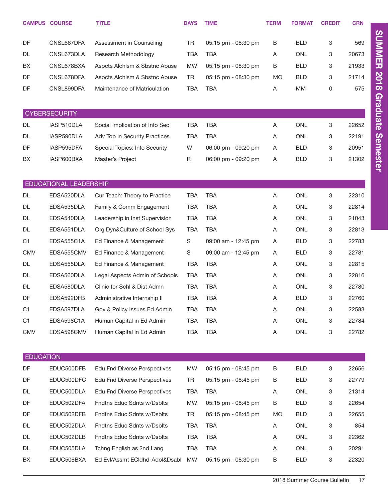|                  | <b>CAMPUS COURSE</b>   | <b>TITLE</b>                        | <b>DAYS</b> | <b>TIME</b>         | <b>TERM</b> | <b>FORMAT</b> | <b>CREDIT</b> | <b>CRN</b> |
|------------------|------------------------|-------------------------------------|-------------|---------------------|-------------|---------------|---------------|------------|
| DF               | CNSL667DFA             | Assessment in Counseling            | <b>TR</b>   | 05:15 pm - 08:30 pm | B           | <b>BLD</b>    | 3             | 569        |
| DL               | CNSL673DLA             | Research Methodology                | <b>TBA</b>  | <b>TBA</b>          | Α           | <b>ONL</b>    | 3             | 20673      |
| BX               | CNSL678BXA             | Aspcts Alchism & Sbstnc Abuse       | <b>MW</b>   | 05:15 pm - 08:30 pm | B           | <b>BLD</b>    | 3             | 21933      |
| DF               | CNSL678DFA             | Aspcts Alchism & Sbstnc Abuse       | TR          | 05:15 pm - 08:30 pm | МC          | <b>BLD</b>    | 3             | 21714      |
| DF               | CNSL899DFA             | Maintenance of Matriculation        | <b>TBA</b>  | <b>TBA</b>          | Α           | <b>MM</b>     | 0             | 575        |
|                  |                        |                                     |             |                     |             |               |               |            |
|                  | <b>CYBERSECURITY</b>   |                                     |             |                     |             |               |               |            |
| DL               | IASP510DLA             | Social Implication of Info Sec      | <b>TBA</b>  | <b>TBA</b>          | A           | <b>ONL</b>    | 3             | 22652      |
| DL               | IASP590DLA             | Adv Top in Security Practices       | <b>TBA</b>  | <b>TBA</b>          | A           | <b>ONL</b>    | 3             | 22191      |
| DF               | IASP595DFA             | Special Topics: Info Security       | W           | 06:00 pm - 09:20 pm | A           | <b>BLD</b>    | 3             | 20951      |
| BX               | IASP600BXA             | Master's Project                    | R           | 06:00 pm - 09:20 pm | A           | <b>BLD</b>    | 3             | 21302      |
|                  |                        |                                     |             |                     |             |               |               |            |
|                  | EDUCATIONAL LEADERSHIP |                                     |             |                     |             |               |               |            |
| DL               | EDSA520DLA             | Cur Teach: Theory to Practice       | <b>TBA</b>  | <b>TBA</b>          | Α           | <b>ONL</b>    | 3             | 22310      |
| DL               | EDSA535DLA             | Family & Comm Engagement            | <b>TBA</b>  | <b>TBA</b>          | Α           | <b>ONL</b>    | 3             | 22814      |
| DL               | EDSA540DLA             | Leadership in Inst Supervision      | <b>TBA</b>  | <b>TBA</b>          | Α           | <b>ONL</b>    | 3             | 21043      |
| DL               | EDSA551DLA             | Org Dyn&Culture of School Sys       | <b>TBA</b>  | <b>TBA</b>          | Α           | <b>ONL</b>    | 3             | 22813      |
| C <sub>1</sub>   | EDSA555C1A             | Ed Finance & Management             | S           | 09:00 am - 12:45 pm | Α           | <b>BLD</b>    | 3             | 22783      |
| <b>CMV</b>       | EDSA555CMV             | Ed Finance & Management             | S           | 09:00 am - 12:45 pm | Α           | <b>BLD</b>    | 3             | 22781      |
| DL               | EDSA555DLA             | Ed Finance & Management             | <b>TBA</b>  | <b>TBA</b>          | Α           | <b>ONL</b>    | 3             | 22815      |
| DL               | EDSA560DLA             | Legal Aspects Admin of Schools      | <b>TBA</b>  | <b>TBA</b>          | Α           | <b>ONL</b>    | 3             | 22816      |
| DL               | EDSA580DLA             | Clinic for Schl & Dist Admn         | <b>TBA</b>  | <b>TBA</b>          | Α           | <b>ONL</b>    | 3             | 22780      |
| DF               | EDSA592DFB             | Administrative Internship II        | <b>TBA</b>  | <b>TBA</b>          | Α           | <b>BLD</b>    | 3             | 22760      |
| C <sub>1</sub>   | EDSA597DLA             | Gov & Policy Issues Ed Admin        | <b>TBA</b>  | <b>TBA</b>          | Α           | <b>ONL</b>    | 3             | 22583      |
| C <sub>1</sub>   | EDSA598C1A             | Human Capital in Ed Admin           | TBA         | <b>TBA</b>          | Α           | ONL           | 3             | 22784      |
| <b>CMV</b>       | EDSA598CMV             | Human Capital in Ed Admin           | TBA         | <b>TBA</b>          | Α           | ONL           | 3             | 22782      |
|                  |                        |                                     |             |                     |             |               |               |            |
| <b>EDUCATION</b> |                        |                                     |             |                     |             |               |               |            |
| DF               | EDUC500DFB             | <b>Edu Fnd Diverse Perspectives</b> | <b>MW</b>   | 05:15 pm - 08:45 pm | B           | <b>BLD</b>    | 3             | 22656      |
| DF               | EDUC500DFC             | <b>Edu Fnd Diverse Perspectives</b> | TR          | 05:15 pm - 08:45 pm | B           | <b>BLD</b>    | 3             | 22779      |
| DL               | EDUC500DLA             | <b>Edu Fnd Diverse Perspectives</b> | TBA         | <b>TBA</b>          | A           | <b>ONL</b>    | 3             | 21314      |
| DF               | EDUC502DFA             | Fndtns Educ Sdnts w/Dsblts          | <b>MW</b>   | 05:15 pm - 08:45 pm | B           | <b>BLD</b>    | 3             | 22654      |
| DF               | EDUC502DFB             | Fndtns Educ Sdnts w/Dsblts          | TR          | 05:15 pm - 08:45 pm | MC          | <b>BLD</b>    | 3             | 22655      |
| DL               | EDUC502DLA             | Fndtns Educ Sdnts w/Dsblts          | TBA         | <b>TBA</b>          | Α           | <b>ONL</b>    | 3             | 854        |
| DL               | EDUC502DLB             | Fndtns Educ Sdnts w/Dsblts          | TBA         | <b>TBA</b>          | Α           | ONL           | 3             | 22362      |
| DL               | EDUC505DLA             | Tchng English as 2nd Lang           | TBA         | <b>TBA</b>          | Α           | ONL           | 3             | 20291      |
| BX               | EDUC506BXA             | Ed Evl/Assmt ECIdhd-Adol&Dsabl      | <b>MW</b>   | 05:15 pm - 08:30 pm | В           | <b>BLD</b>    | 3             | 22320      |

SUMMER 2018 Graduate Semester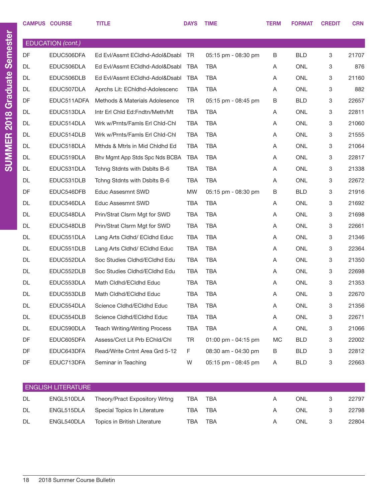|           | <b>CAMPUS COURSE</b>      | <b>TITLE</b>                         | <b>DAYS</b> | <b>TIME</b>         | <b>TERM</b> | <b>FORMAT</b> | <b>CREDIT</b> | <b>CRN</b> |
|-----------|---------------------------|--------------------------------------|-------------|---------------------|-------------|---------------|---------------|------------|
|           |                           |                                      |             |                     |             |               |               |            |
|           | <b>EDUCATION</b> (cont.)  |                                      |             |                     |             |               |               |            |
| DF        | EDUC506DFA                | Ed Evl/Assmt ECldhd-Adol&Dsabl TR    |             | 05:15 pm - 08:30 pm | B           | <b>BLD</b>    | 3             | 21707      |
| <b>DL</b> | EDUC506DLA                | Ed Evl/Assmt ECldhd-Adol&Dsabl       | <b>TBA</b>  | <b>TBA</b>          | Α           | <b>ONL</b>    | 3             | 876        |
| <b>DL</b> | EDUC506DLB                | Ed Evl/Assmt ECIdhd-Adol&Dsabl       | TBA         | <b>TBA</b>          | Α           | <b>ONL</b>    | 3             | 21160      |
| <b>DL</b> | EDUC507DLA                | Aprchs Lit: EChldhd-Adolescenc       | TBA         | <b>TBA</b>          | Α           | <b>ONL</b>    | 3             | 882        |
| DF        | EDUC511ADFA               | Methods & Materials Adolesence       | TR.         | 05:15 pm - 08:45 pm | B           | <b>BLD</b>    | 3             | 22657      |
| DL        | EDUC513DLA                | Intr Erl Chid Ed:Fndtn/Meth/Mt       | <b>TBA</b>  | <b>TBA</b>          | Α           | <b>ONL</b>    | 3             | 22811      |
| DL        | EDUC514DLA                | Wrk w/Prnts/Famls Erl Chld-Chl       | <b>TBA</b>  | <b>TBA</b>          | Α           | <b>ONL</b>    | 3             | 21060      |
| <b>DL</b> | EDUC514DLB                | Wrk w/Prnts/Famls Erl Chld-Chl       | <b>TBA</b>  | <b>TBA</b>          | Α           | <b>ONL</b>    | 3             | 21555      |
| <b>DL</b> | EDUC518DLA                | Mthds & Mtrls in Mid Chldhd Ed       | <b>TBA</b>  | <b>TBA</b>          | A           | <b>ONL</b>    | 3             | 21064      |
| <b>DL</b> | EDUC519DLA                | Bhy Mgmt App Stds Spc Nds BCBA       | <b>TBA</b>  | <b>TBA</b>          | Α           | <b>ONL</b>    | 3             | 22817      |
| DL        | EDUC531DLA                | Tchng Stdnts with Dsblts B-6         | <b>TBA</b>  | <b>TBA</b>          | Α           | <b>ONL</b>    | 3             | 21338      |
| DL        | EDUC531DLB                | Tchng Stdnts with Dsblts B-6         | <b>TBA</b>  | <b>TBA</b>          | Α           | <b>ONL</b>    | 3             | 22672      |
| DF        | EDUC546DFB                | Educ Assesmnt SWD                    | <b>MW</b>   | 05:15 pm - 08:30 pm | B           | <b>BLD</b>    | 3             | 21916      |
| DL        | EDUC546DLA                | Educ Assesmnt SWD                    | <b>TBA</b>  | <b>TBA</b>          | Α           | <b>ONL</b>    | 3             | 21692      |
| DL        | EDUC548DLA                | Prin/Strat Clsrm Mgt for SWD         | <b>TBA</b>  | <b>TBA</b>          | Α           | <b>ONL</b>    | 3             | 21698      |
| DL        | EDUC548DLB                | Prin/Strat Clsrm Mgt for SWD         | <b>TBA</b>  | <b>TBA</b>          | Α           | <b>ONL</b>    | 3             | 22661      |
| DL        | EDUC551DLA                | Lang Arts Cldhd/ ECldhd Educ         | <b>TBA</b>  | <b>TBA</b>          | A           | <b>ONL</b>    | 3             | 21346      |
| DL        | EDUC551DLB                | Lang Arts Cldhd/ ECldhd Educ         | <b>TBA</b>  | <b>TBA</b>          | Α           | <b>ONL</b>    | 3             | 22364      |
| DL        | EDUC552DLA                | Soc Studies Cldhd/ECldhd Edu         | <b>TBA</b>  | <b>TBA</b>          | Α           | <b>ONL</b>    | 3             | 21350      |
| DL        | EDUC552DLB                | Soc Studies Cldhd/ECldhd Edu         | <b>TBA</b>  | <b>TBA</b>          | Α           | <b>ONL</b>    | 3             | 22698      |
| DL        | EDUC553DLA                | Math Cldhd/ECldhd Educ               | <b>TBA</b>  | <b>TBA</b>          | Α           | <b>ONL</b>    | 3             | 21353      |
| DL        | EDUC553DLB                | Math Cldhd/ECldhd Educ               | <b>TBA</b>  | <b>TBA</b>          | Α           | <b>ONL</b>    | 3             | 22670      |
| DL        | EDUC554DLA                | Science Cldhd/ECldhd Educ            | TBA         | <b>TBA</b>          | Α           | <b>ONL</b>    | 3             | 21356      |
| DL        | EDUC554DLB                | Science Cldhd/ECldhd Educ            | TBA         | <b>TBA</b>          | Α           | ONL           | 3             | 22671      |
| DL        | EDUC590DLA                | <b>Teach Writing/Writing Process</b> | <b>TBA</b>  | <b>TBA</b>          | Α           | ONL           | 3             | 21066      |
| DF        | EDUC605DFA                | Assess/Crct Lit Prb EChld/Chl        | TR          | 01:00 pm - 04:15 pm | <b>MC</b>   | <b>BLD</b>    | 3             | 22002      |
| DF        | EDUC643DFA                | Read/Write Cntnt Area Grd 5-12       | F           | 08:30 am - 04:30 pm | B           | <b>BLD</b>    | 3             | 22812      |
| DF        | EDUC713DFA                | Seminar in Teaching                  | W           | 05:15 pm - 08:45 pm | A           | <b>BLD</b>    | 3             | 22663      |
|           |                           |                                      |             |                     |             |               |               |            |
|           | <b>ENGLISH LITERATURE</b> |                                      |             |                     |             |               |               |            |

| LINULIOIT LITLIMIUIL |            |                                         |     |     |   |     |               |       |  |
|----------------------|------------|-----------------------------------------|-----|-----|---|-----|---------------|-------|--|
| <b>DL</b>            | ENGL510DLA | Theory/Pract Expository Wrtng           | TBA | TBA |   | ONL |               | 22797 |  |
| <b>DL</b>            |            | ENGL515DLA Special Topics In Literature | TBA | TBA | A | ONL | $\mathcal{S}$ | 22798 |  |
| DL                   | ENGL540DLA | Topics in British Literature            | TBA | TBA | A | ONI |               | 22804 |  |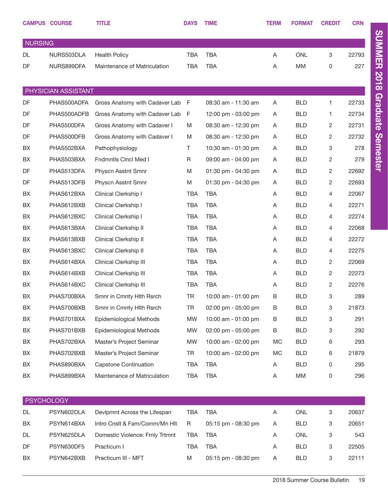|                | <b>CAMPUS COURSE</b> | <b>TITLE</b>                   | <b>DAYS</b> | <b>TIME</b>         | <b>TERM</b> | <b>FORMAT</b> | <b>CREDIT</b>             | <b>CRN</b> |
|----------------|----------------------|--------------------------------|-------------|---------------------|-------------|---------------|---------------------------|------------|
| <b>NURSING</b> |                      |                                |             |                     |             |               |                           |            |
| DL             | NURS503DLA           | <b>Health Policy</b>           | <b>TBA</b>  | <b>TBA</b>          | Α           | <b>ONL</b>    | 3                         | 22793      |
| DF             | NURS899DFA           | Maintenance of Matriculation   | <b>TBA</b>  | <b>TBA</b>          | Α           | <b>MM</b>     | 0                         | 227        |
|                |                      |                                |             |                     |             |               |                           |            |
|                | PHYSICIAN ASSISTANT  |                                |             |                     |             |               |                           |            |
| DF             | PHAS500ADFA          | Gross Anatomy with Cadaver Lab | - F         | 08:30 am - 11:30 am | Α           | <b>BLD</b>    | 1                         | 22733      |
| DF             | PHAS500ADFB          | Gross Anatomy with Cadaver Lab | F           | 12:00 pm - 03:00 pm | Α           | <b>BLD</b>    | 1                         | 22734      |
| DF             | PHAS500DFA           | Gross Anatomy with Cadaver I   | M           | 08:30 am - 12:30 pm | Α           | <b>BLD</b>    | 2                         | 22731      |
| DF             | PHAS500DFB           | Gross Anatomy with Cadaver I   | M           | 08:30 am - 12:30 pm | Α           | <b>BLD</b>    | 2                         | 22732      |
| BX             | PHAS502BXA           | Pathophysiology                | Τ           | 10:30 am - 01:30 pm | Α           | <b>BLD</b>    | 3                         | 278        |
| BX             | PHAS503BXA           | <b>Fndmntls Cincl Med I</b>    | R           | 09:00 am - 04:00 pm | Α           | <b>BLD</b>    | 2                         | 279        |
| DF             | PHAS513DFA           | Physcn Asstnt Smnr             | M           | 01:30 pm - 04:30 pm | Α           | <b>BLD</b>    | 2                         | 22692      |
| DF             | PHAS513DFB           | Physcn Asstnt Smnr             | M           | 01:30 pm - 04:30 pm | Α           | <b>BLD</b>    | 2                         | 22693      |
| BX             | PHAS612BXA           | Clinical Clerkship I           | <b>TBA</b>  | TBA                 | Α           | <b>BLD</b>    | 4                         | 22067      |
| BX             | PHAS612BXB           | Clinical Clerkship I           | <b>TBA</b>  | <b>TBA</b>          | Α           | <b>BLD</b>    | 4                         | 22271      |
| BX             | PHAS612BXC           | Clinical Clerkship I           | <b>TBA</b>  | <b>TBA</b>          | Α           | <b>BLD</b>    | 4                         | 22274      |
| BX             | PHAS613BXA           | Clinical Clerkship II          | <b>TBA</b>  | <b>TBA</b>          | Α           | <b>BLD</b>    | 4                         | 22068      |
| BX             | PHAS613BXB           | Clinical Clerkship II          | <b>TBA</b>  | <b>TBA</b>          | Α           | <b>BLD</b>    | 4                         | 22272      |
| BX             | PHAS613BXC           | Clinical Clerkship II          | <b>TBA</b>  | <b>TBA</b>          | Α           | <b>BLD</b>    | 4                         | 22275      |
| BX             | PHAS614BXA           | Clinical Clerkship III         | <b>TBA</b>  | <b>TBA</b>          | Α           | <b>BLD</b>    | 2                         | 22069      |
| BX             | PHAS614BXB           | Clinical Clerkship III         | <b>TBA</b>  | <b>TBA</b>          | Α           | <b>BLD</b>    | 2                         | 22273      |
| BX             | PHAS614BXC           | Clinical Clerkship III         | <b>TBA</b>  | <b>TBA</b>          | Α           | <b>BLD</b>    | 2                         | 22276      |
| BX             | PHAS700BXA           | Smnr in Cmnty Hith Rsrch       | TR          | 10:00 am - 01:00 pm | B           | <b>BLD</b>    | $\ensuremath{\mathsf{3}}$ | 289        |
| BX             | PHAS700BXB           | Smnr in Cmnty Hith Rsrch       | <b>TR</b>   | 02:00 pm - 05:00 pm | B           | <b>BLD</b>    | 3                         | 21873      |
| BX             | PHAS701BXA           | Epidemiological Methods        | <b>MW</b>   | 10:00 am - 01:00 pm | B           | <b>BLD</b>    | 3                         | 291        |
| BX             | PHAS701BXB           | Epidemiological Methods        | <b>MW</b>   | 02:00 pm - 05:00 pm | B           | <b>BLD</b>    | 3                         | 292        |
| BX             | PHAS702BXA           | Master's Project Seminar       | <b>MW</b>   | 10:00 am - 02:00 pm | МC          | <b>BLD</b>    | 6                         | 293        |
| BX             | PHAS702BXB           | Master's Project Seminar       | TR          | 10:00 am - 02:00 pm | MC          | <b>BLD</b>    | 6                         | 21879      |
| BX             | PHAS890BXA           | Capstone Continuation          | <b>TBA</b>  | TBA                 | Α           | <b>BLD</b>    | 0                         | 295        |
| BX             | PHAS899BXA           | Maintenance of Matriculation   | <b>TBA</b>  | <b>TBA</b>          | A           | MM            | 0                         | 296        |
|                |                      |                                |             |                     |             |               |                           |            |
|                | <b>PSYCHOLOGY</b>    |                                |             |                     |             |               |                           |            |
| DL             | PSYN602DLA           | Devlpmnt Across the Lifespan   | <b>TBA</b>  | <b>TBA</b>          | Α           | <b>ONL</b>    | 3                         | 20637      |
| BX             | PSYN614BXA           | Intro Cnslt & Fam/Comm/Mn Hlt  | R           | 05:15 pm - 08:30 pm | Α           | <b>BLD</b>    | 3                         | 20651      |
| DL             | PSYN625DLA           | Domestic Violence: Fmly Trtmnt | TBA         | <b>TBA</b>          | Α           | ONL           | 3                         | 543        |
| DF             | PSYN630DF5           | Practicum I                    | TBA         | TBA                 | Α           | <b>BLD</b>    | 3                         | 22505      |
| BX             | PSYN642BXB           | Practicum III - MFT            | M           | 05:15 pm - 08:30 pm | A           | <b>BLD</b>    | 3                         | 22111      |

SUMMER 2018 Graduate Semester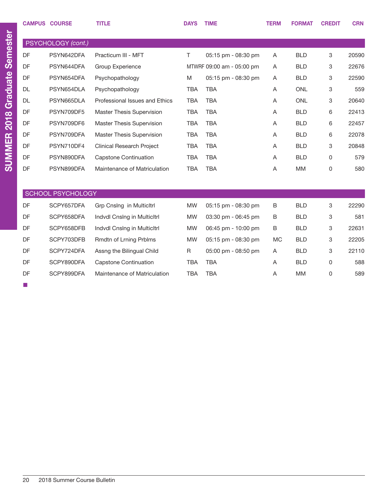|           | <b>CAMPUS COURSE</b>     | <b>TITLE</b>                     | <b>DAYS</b> | <b>TIME</b>               | <b>TERM</b> | <b>FORMAT</b> | <b>CREDIT</b> | <b>CRN</b> |
|-----------|--------------------------|----------------------------------|-------------|---------------------------|-------------|---------------|---------------|------------|
|           | PSYCHOLOGY (cont.)       |                                  |             |                           |             |               |               |            |
| DF        | PSYN642DFA               | Practicum III - MFT              | $\top$      | 05:15 pm - 08:30 pm       | Α           | <b>BLD</b>    | 3             | 20590      |
| DF        | PSYN644DFA               | <b>Group Experience</b>          |             | MTWRF 09:00 am - 05:00 pm | Α           | <b>BLD</b>    | 3             | 22676      |
| DF        | PSYN654DFA               | Psychopathology                  | M           | 05:15 pm - 08:30 pm       | Α           | <b>BLD</b>    | 3             | 22590      |
| <b>DL</b> | PSYN654DLA               | Psychopathology                  | <b>TBA</b>  | <b>TBA</b>                | A           | <b>ONL</b>    | 3             | 559        |
| <b>DL</b> | PSYN665DLA               | Professional Issues and Ethics   | <b>TBA</b>  | <b>TBA</b>                | A           | <b>ONL</b>    | 3             | 20640      |
| DF        | PSYN709DF5               | Master Thesis Supervision        | <b>TBA</b>  | <b>TBA</b>                | A           | <b>BLD</b>    | 6             | 22413      |
| DF        | PSYN709DF6               | Master Thesis Supervision        | <b>TBA</b>  | <b>TBA</b>                | Α           | <b>BLD</b>    | 6             | 22457      |
| DF        | PSYN709DFA               | <b>Master Thesis Supervision</b> | <b>TBA</b>  | <b>TBA</b>                | A           | <b>BLD</b>    | 6             | 22078      |
| DF        | PSYN710DF4               | <b>Clinical Research Project</b> | <b>TBA</b>  | <b>TBA</b>                | A           | <b>BLD</b>    | 3             | 20848      |
| DF        | PSYN890DFA               | <b>Capstone Continuation</b>     | <b>TBA</b>  | <b>TBA</b>                | A           | <b>BLD</b>    | 0             | 579        |
| DF        | PSYN899DFA               | Maintenance of Matriculation     | <b>TBA</b>  | <b>TBA</b>                | A           | <b>MM</b>     | 0             | 580        |
|           |                          |                                  |             |                           |             |               |               |            |
|           | <b>SCHOOL PSYCHOLOGY</b> |                                  |             |                           |             |               |               |            |
| DF        | SCPY657DFA               | Grp Cnslng in Multicltrl         | <b>MW</b>   | 05:15 pm - 08:30 pm       | B           | <b>BLD</b>    | 3             | 22290      |
| DF        | SCPY658DFA               | Indvdl Cnslng in Multicltrl      | <b>MW</b>   | 03:30 pm - 06:45 pm       | B           | <b>BLD</b>    | 3             | 581        |
| DF        | SCPY658DFB               | Indvdl Cnslng in Multicltrl      | <b>MW</b>   | 06:45 pm - 10:00 pm       | B           | <b>BLD</b>    | 3             | 22631      |
| DF        | SCPY703DFB               | Rmdtn of Lrning Prblms           | <b>MW</b>   | 05:15 pm - 08:30 pm       | <b>MC</b>   | <b>BLD</b>    | 3             | 22205      |
| DF        | SCPY724DFA               | Assng the Bilingual Child        | R           | 05:00 pm - 08:50 pm       | Α           | <b>BLD</b>    | 3             | 22110      |
| DF        | SCPY890DFA               | <b>Capstone Continuation</b>     | <b>TBA</b>  | <b>TBA</b>                | A           | <b>BLD</b>    | 0             | 588        |
| DF        | SCPY899DFA               | Maintenance of Matriculation     | <b>TBA</b>  | <b>TBA</b>                | A           | <b>MM</b>     | 0             | 589        |
|           |                          |                                  |             |                           |             |               |               |            |

■

SUMMER 2018 Graduate Semester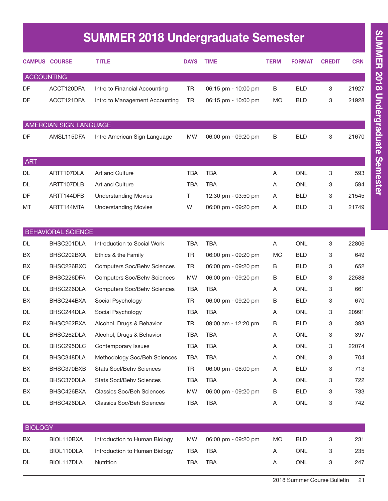# SUMMER 2018 Undergraduate Semester

|                   | <b>CAMPUS COURSE</b>      | <b>TITLE</b>                       | <b>DAYS</b> | <b>TIME</b>         | <b>TERM</b> | <b>FORMAT</b> | <b>CREDIT</b> | <b>CRN</b> |
|-------------------|---------------------------|------------------------------------|-------------|---------------------|-------------|---------------|---------------|------------|
| <b>ACCOUNTING</b> |                           |                                    |             |                     |             |               |               |            |
| DF                | ACCT120DFA                | Intro to Financial Accounting      | <b>TR</b>   | 06:15 pm - 10:00 pm | B           | <b>BLD</b>    | 3             | 21927      |
| DF                | ACCT121DFA                | Intro to Management Accounting     | <b>TR</b>   | 06:15 pm - 10:00 pm | <b>MC</b>   | <b>BLD</b>    | 3             | 21928      |
|                   | AMERCIAN SIGN LANGUAGE    |                                    |             |                     |             |               |               |            |
| DF                | AMSL115DFA                | Intro American Sign Language       | <b>MW</b>   | 06:00 pm - 09:20 pm | B           | <b>BLD</b>    | 3             | 21670      |
| ART               |                           |                                    |             |                     |             |               |               |            |
| <b>DL</b>         | ARTT107DLA                | Art and Culture                    | <b>TBA</b>  | <b>TBA</b>          | Α           | <b>ONL</b>    | 3             | 593        |
| DL                | ARTT107DLB                | Art and Culture                    | <b>TBA</b>  | <b>TBA</b>          | A           | <b>ONL</b>    | 3             | 594        |
| DF                | ARTT144DFB                | <b>Understanding Movies</b>        | Τ           | 12:30 pm - 03:50 pm | Α           | <b>BLD</b>    | 3             | 21545      |
| MT                | ARTT144MTA                | <b>Understanding Movies</b>        | W           | 06:00 pm - 09:20 pm | Α           | <b>BLD</b>    | 3             | 21749      |
|                   | <b>BEHAVIORAL SCIENCE</b> |                                    |             |                     |             |               |               |            |
| DL                | BHSC201DLA                | Introduction to Social Work        | <b>TBA</b>  | <b>TBA</b>          | A           | <b>ONL</b>    | 3             | 22806      |
| BX                | BHSC202BXA                | Ethics & the Family                | TR          | 06:00 pm - 09:20 pm | <b>MC</b>   | <b>BLD</b>    | 3             | 649        |
| BX                | BHSC226BXC                | <b>Computers Soc/Behv Sciences</b> | <b>TR</b>   | 06:00 pm - 09:20 pm | B           | <b>BLD</b>    | 3             | 652        |
| DF                | BHSC226DFA                | <b>Computers Soc/Behv Sciences</b> | <b>MW</b>   | 06:00 pm - 09:20 pm | B           | <b>BLD</b>    | 3             | 22588      |
| DL                | BHSC226DLA                | <b>Computers Soc/Behv Sciences</b> | <b>TBA</b>  | <b>TBA</b>          | Α           | <b>ONL</b>    | 3             | 661        |
| BX                | BHSC244BXA                | Social Psychology                  | <b>TR</b>   | 06:00 pm - 09:20 pm | B           | <b>BLD</b>    | 3             | 670        |
| DL                | BHSC244DLA                | Social Psychology                  | <b>TBA</b>  | <b>TBA</b>          | A           | <b>ONL</b>    | 3             | 20991      |
| BX                | BHSC262BXA                | Alcohol, Drugs & Behavior          | <b>TR</b>   | 09:00 am - 12:20 pm | В           | <b>BLD</b>    | 3             | 393        |
| DL                | BHSC262DLA                | Alcohol, Drugs & Behavior          | <b>TBA</b>  | <b>TBA</b>          | Α           | <b>ONL</b>    | 3             | 397        |
| DL                | BHSC295DLC                | Contemporary Issues                | <b>TBA</b>  | <b>TBA</b>          | A           | ONL           | 3             | 22074      |
| DL                | BHSC348DLA                | Methodology Soc/Beh Sciences       | TBA         | <b>TBA</b>          | Α           | ONL           | 3             | 704        |
| BX                | BHSC370BXB                | <b>Stats Socl/Behv Sciences</b>    | TR          | 06:00 pm - 08:00 pm | A           | <b>BLD</b>    | 3             | 713        |
| DL                | BHSC370DLA                | Stats Socl/Behv Sciences           | <b>TBA</b>  | <b>TBA</b>          | A           | ONL           | 3             | 722        |
| BX                | BHSC426BXA                | <b>Classics Soc/Beh Sciences</b>   | <b>MW</b>   | 06:00 pm - 09:20 pm | B           | <b>BLD</b>    | 3             | 733        |
| DL                | BHSC426DLA                | <b>Classics Soc/Beh Sciences</b>   | <b>TBA</b>  | TBA                 | Α           | ONL           | 3             | 742        |

| <b>BIOLOGY</b> |            |                               |     |                     |     |            |  |     |  |
|----------------|------------|-------------------------------|-----|---------------------|-----|------------|--|-----|--|
| BX             | BIOL110BXA | Introduction to Human Biology | MW  | 06:00 pm - 09:20 pm | MC. | <b>BLD</b> |  | 231 |  |
| <b>DL</b>      | BIOL110DLA | Introduction to Human Biology | TBA | TBA                 |     | <b>ONL</b> |  | 235 |  |
| <b>DL</b>      | BIOL117DLA | Nutrition                     | TBA | <b>TBA</b>          |     | ONL        |  | 247 |  |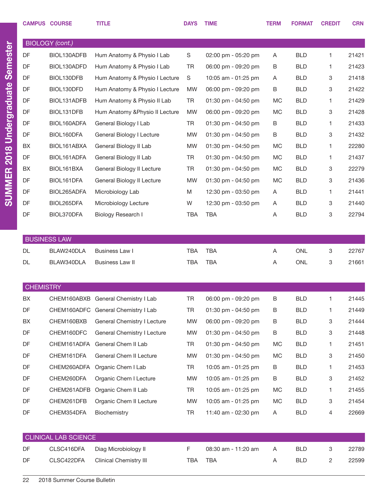|                  | <b>CAMPUS COURSE</b>        | <b>TITLE</b>                        | <b>DAYS</b> | <b>TIME</b>         | <b>TERM</b> | <b>FORMAT</b> | <b>CREDIT</b> | <b>CRN</b> |
|------------------|-----------------------------|-------------------------------------|-------------|---------------------|-------------|---------------|---------------|------------|
|                  |                             |                                     |             |                     |             |               |               |            |
|                  | <b>BIOLOGY</b> (cont.)      |                                     |             |                     |             |               |               |            |
| DF               | BIOL130ADFB                 | Hum Anatomy & Physio I Lab          | S           | 02:00 pm - 05:20 pm | A           | <b>BLD</b>    | 1             | 21421      |
| DF               | BIOL130ADFD                 | Hum Anatomy & Physio I Lab          | <b>TR</b>   | 06:00 pm - 09:20 pm | B           | <b>BLD</b>    | 1             | 21423      |
| DF               | BIOL130DFB                  | Hum Anatomy & Physio I Lecture      | S           | 10:05 am - 01:25 pm | A           | <b>BLD</b>    | 3             | 21418      |
| DF               | BIOL130DFD                  | Hum Anatomy & Physio I Lecture      | <b>MW</b>   | 06:00 pm - 09:20 pm | B           | <b>BLD</b>    | 3             | 21422      |
| DF               | BIOL131ADFB                 | Hum Anatomy & Physio II Lab         | TR          | 01:30 pm - 04:50 pm | MC          | <b>BLD</b>    | 1             | 21429      |
| DF               | BIOL131DFB                  | Hum Anatomy & Physio II Lecture     | <b>MW</b>   | 06:00 pm - 09:20 pm | MC          | <b>BLD</b>    | 3             | 21428      |
| DF               | BIOL160ADFA                 | General Biology I Lab               | TR          | 01:30 pm - 04:50 pm | B           | <b>BLD</b>    | 1             | 21433      |
| DF               | BIOL160DFA                  | General Biology I Lecture           | <b>MW</b>   | 01:30 pm - 04:50 pm | B           | <b>BLD</b>    | 3             | 21432      |
| BX               | BIOL161ABXA                 | General Biology II Lab              | <b>MW</b>   | 01:30 pm - 04:50 pm | MC          | <b>BLD</b>    | 1             | 22280      |
| DF               | BIOL161ADFA                 | General Biology II Lab              | TR          | 01:30 pm - 04:50 pm | MC          | <b>BLD</b>    | 1             | 21437      |
| BX               | BIOL161BXA                  | General Biology II Lecture          | TR          | 01:30 pm - 04:50 pm | MC          | <b>BLD</b>    | 3             | 22279      |
| DF               | BIOL161DFA                  | General Biology II Lecture          | <b>MW</b>   | 01:30 pm - 04:50 pm | MC          | <b>BLD</b>    | 3             | 21436      |
| DF               | BIOL265ADFA                 | Microbiology Lab                    | M           | 12:30 pm - 03:50 pm | A           | <b>BLD</b>    | 1             | 21441      |
| DF               | BIOL265DFA                  | Microbiology Lecture                | W           | 12:30 pm - 03:50 pm | A           | <b>BLD</b>    | 3             | 21440      |
| DF               | BIOL370DFA                  | Biology Research I                  | <b>TBA</b>  | <b>TBA</b>          | Α           | <b>BLD</b>    | 3             | 22794      |
|                  |                             |                                     |             |                     |             |               |               |            |
|                  | <b>BUSINESS LAW</b>         |                                     |             |                     |             |               |               |            |
| DL.              | BLAW240DLA                  | Business Law I                      | <b>TBA</b>  | <b>TBA</b>          | A           | <b>ONL</b>    | 3             | 22767      |
| DL               | BLAW340DLA                  | <b>Business Law II</b>              | <b>TBA</b>  | <b>TBA</b>          | Α           | <b>ONL</b>    | 3             | 21661      |
|                  |                             |                                     |             |                     |             |               |               |            |
| <b>CHEMISTRY</b> |                             |                                     |             |                     |             |               |               |            |
| BX               |                             | CHEM160ABXB General Chemistry I Lab | TR          | 06:00 pm - 09:20 pm | В           | <b>BLD</b>    | 1             | 21445      |
| DF               |                             | CHEM160ADFC General Chemistry I Lab | TR          | 01:30 pm - 04:50 pm | В           | <b>BLD</b>    | 1             | 21449      |
| BX               | CHEM160BXB                  | General Chemistry I Lecture         | MW          | 06:00 pm - 09:20 pm | B           | <b>BLD</b>    | 3             | 21444      |
| DF               | CHEM160DFC                  | <b>General Chemistry I Lecture</b>  | MW          | 01:30 pm - 04:50 pm | B           | <b>BLD</b>    | 3             | 21448      |
| DF               | CHEM161ADFA                 | General Chem II Lab                 | TR          | 01:30 pm - 04:50 pm | МC          | <b>BLD</b>    | 1             | 21451      |
| DF               | CHEM161DFA                  | General Chem II Lecture             | MW          | 01:30 pm - 04:50 pm | MC          | <b>BLD</b>    | 3             | 21450      |
| DF               | CHEM260ADFA                 | Organic Chem I Lab                  | TR          | 10:05 am - 01:25 pm | В           | <b>BLD</b>    | 1             | 21453      |
| DF               | CHEM260DFA                  | Organic Chem I Lecture              | MW          | 10:05 am - 01:25 pm | B           | <b>BLD</b>    | 3             | 21452      |
| DF               | CHEM261ADFB                 | Organic Chem II Lab                 | TR          | 10:05 am - 01:25 pm | МC          | <b>BLD</b>    | 1             | 21455      |
| DF               | CHEM261DFB                  | Organic Chem II Lecture             | MW          | 10:05 am - 01:25 pm | MC          | <b>BLD</b>    | 3             | 21454      |
| DF               | CHEM354DFA                  | Biochemistry                        | TR          | 11:40 am - 02:30 pm | A           | <b>BLD</b>    | 4             | 22669      |
|                  |                             |                                     |             |                     |             |               |               |            |
|                  |                             |                                     |             |                     |             |               |               |            |
|                  | <b>CLINICAL LAB SCIENCE</b> |                                     |             |                     |             |               |               |            |
| DF               | CLSC416DFA                  | Diag Microbiology II                | F           | 08:30 am - 11:20 am | Α           | <b>BLD</b>    | 3             | 22789      |
| DF               | CLSC422DFA                  | <b>Clinical Chemistry III</b>       | TBA         | TBA                 | Α           | <b>BLD</b>    | 2             | 22599      |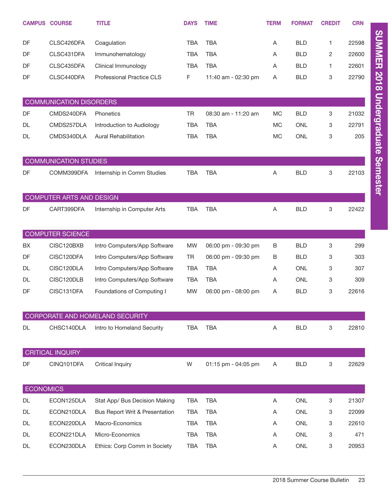|                  | <b>CAMPUS COURSE</b>           | <b>TITLE</b>                    | <b>DAYS</b> | <b>TIME</b>         | <b>TERM</b>    | <b>FORMAT</b> | <b>CREDIT</b> | <b>CRN</b> |
|------------------|--------------------------------|---------------------------------|-------------|---------------------|----------------|---------------|---------------|------------|
| DF               | CLSC426DFA                     | Coagulation                     | <b>TBA</b>  | <b>TBA</b>          | Α              | <b>BLD</b>    | 1             | 22598      |
| DF               | CLSC431DFA                     | Immunohematology                | <b>TBA</b>  | <b>TBA</b>          | Α              | <b>BLD</b>    | 2             | 22600      |
| DF               | CLSC435DFA                     | Clinical Immunology             | <b>TBA</b>  | <b>TBA</b>          | A              | <b>BLD</b>    | 1             | 22601      |
| DF               | CLSC440DFA                     | Professional Practice CLS       | F.          | 11:40 am - 02:30 pm | A              | <b>BLD</b>    | 3             | 22790      |
|                  | <b>COMMUNICATION DISORDERS</b> |                                 |             |                     |                |               |               |            |
| DF               | CMDS240DFA                     | Phonetics                       | <b>TR</b>   | 08:30 am - 11:20 am | MC             | <b>BLD</b>    | 3             | 21032      |
| DL               | CMDS257DLA                     | Introduction to Audiology       | <b>TBA</b>  | <b>TBA</b>          | MC             | <b>ONL</b>    | 3             | 22791      |
| DL               | CMDS340DLA                     | <b>Aural Rehabilitation</b>     | <b>TBA</b>  | <b>TBA</b>          | <b>MC</b>      | <b>ONL</b>    | 3             | 205        |
|                  | <b>COMMUNICATION STUDIES</b>   |                                 |             |                     |                |               |               |            |
| DF               | COMM399DFA                     | Internship in Comm Studies      | <b>TBA</b>  | <b>TBA</b>          | $\overline{A}$ | <b>BLD</b>    | 3             | 22103      |
|                  | COMPUTER ARTS AND DESIGN       |                                 |             |                     |                |               |               |            |
| DF               | CART399DFA                     | Internship in Computer Arts     | <b>TBA</b>  | <b>TBA</b>          | A              | <b>BLD</b>    | 3             | 22422      |
|                  | <b>COMPUTER SCIENCE</b>        |                                 |             |                     |                |               |               |            |
| BX               | CISC120BXB                     | Intro Computers/App Software    | <b>MW</b>   | 06:00 pm - 09:30 pm | B              | <b>BLD</b>    | 3             | 299        |
| DF               | CISC120DFA                     | Intro Computers/App Software    | <b>TR</b>   | 06:00 pm - 09:30 pm | B              | <b>BLD</b>    | 3             | 303        |
| DL               | CISC120DLA                     | Intro Computers/App Software    | <b>TBA</b>  | <b>TBA</b>          | Α              | <b>ONL</b>    | 3             | 307        |
| DL               | CISC120DLB                     | Intro Computers/App Software    | <b>TBA</b>  | <b>TBA</b>          | Α              | <b>ONL</b>    | 3             | 309        |
| DF               | CISC131DFA                     | Foundations of Computing I      | <b>MW</b>   | 06:00 pm - 08:00 pm | Α              | <b>BLD</b>    | 3             | 22616      |
|                  |                                | CORPORATE AND HOMELAND SECURITY |             |                     |                |               |               |            |
| DL               | CHSC140DLA                     | Intro to Homeland Security      | <b>TBA</b>  | <b>TBA</b>          | A              | <b>BLD</b>    | 3             | 22810      |
|                  | CRITICAL INQUIRY               |                                 |             |                     |                |               |               |            |
| DF               | CINQ101DFA                     | <b>Critical Inquiry</b>         | W           | 01:15 pm - 04:05 pm | A              | <b>BLD</b>    | 3             | 22629      |
| <b>ECONOMICS</b> |                                |                                 |             |                     |                |               |               |            |
| DL               | ECON125DLA                     | Stat App/ Bus Decision Making   | <b>TBA</b>  | <b>TBA</b>          | A              | ONL           | 3             | 21307      |
| DL               | ECON210DLA                     | Bus Report Writ & Presentation  | TBA         | <b>TBA</b>          | A              | ONL           | 3             | 22099      |
| DL               | ECON220DLA                     | Macro-Economics                 | <b>TBA</b>  | <b>TBA</b>          | Α              | ONL           | 3             | 22610      |
| DL               | ECON221DLA                     | Micro-Economics                 | <b>TBA</b>  | <b>TBA</b>          | Α              | ONL           | 3             | 471        |
| DL               | ECON230DLA                     | Ethics: Corp Comm in Society    | <b>TBA</b>  | <b>TBA</b>          | A              | ONL           | 3             | 20953      |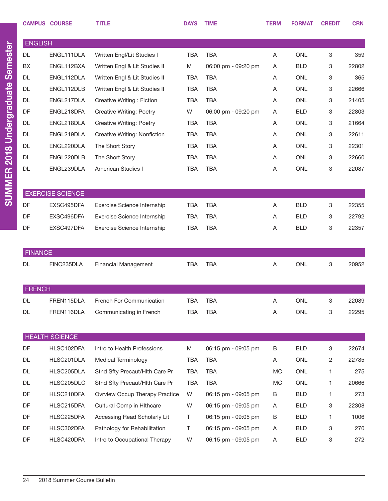|                | <b>CAMPUS COURSE</b>    | <b>TITLE</b>                          | <b>DAYS</b> | <b>TIME</b>         | <b>TERM</b> | <b>FORMAT</b>  | <b>CREDIT</b> | <b>CRN</b> |
|----------------|-------------------------|---------------------------------------|-------------|---------------------|-------------|----------------|---------------|------------|
| <b>ENGLISH</b> |                         |                                       |             |                     |             |                |               |            |
| <b>DL</b>      | ENGL111DLA              | Written Engl/Lit Studies I            | <b>TBA</b>  | <b>TBA</b>          | A           | <b>ONL</b>     | 3             | 359        |
| <b>BX</b>      | ENGL112BXA              | Written Engl & Lit Studies II         | M           | 06:00 pm - 09:20 pm | A           | <b>BLD</b>     | 3             | 22802      |
| <b>DL</b>      | ENGL112DLA              | Written Engl & Lit Studies II         | TBA         | TBA                 | A           | <b>ONL</b>     | 3             | 365        |
| <b>DL</b>      | ENGL112DLB              | Written Engl & Lit Studies II         | TBA         | <b>TBA</b>          | A           | <b>ONL</b>     | 3             | 22666      |
| <b>DL</b>      | ENGL217DLA              | Creative Writing: Fiction             | <b>TBA</b>  | <b>TBA</b>          | A           | <b>ONL</b>     | 3             | 21405      |
| DF             | ENGL218DFA              | <b>Creative Writing: Poetry</b>       | W           | 06:00 pm - 09:20 pm | A           | <b>BLD</b>     | 3             | 22803      |
| <b>DL</b>      | ENGL218DLA              | <b>Creative Writing: Poetry</b>       | TBA         | <b>TBA</b>          | A           | <b>ONL</b>     | 3             | 21664      |
| <b>DL</b>      | ENGL219DLA              | Creative Writing: Nonfiction          | TBA         | <b>TBA</b>          | A           | <b>ONL</b>     | 3             | 22611      |
| <b>DL</b>      | ENGL220DLA              | The Short Story                       | TBA         | <b>TBA</b>          | A           | <b>ONL</b>     | 3             | 22301      |
| <b>DL</b>      | ENGL220DLB              | The Short Story                       | TBA         | <b>TBA</b>          | A           | <b>ONL</b>     | 3             | 22660      |
| DL             | ENGL239DLA              | <b>American Studies I</b>             | TBA         | <b>TBA</b>          | A           | <b>ONL</b>     | 3             | 22087      |
|                |                         |                                       |             |                     |             |                |               |            |
|                | <b>EXERCISE SCIENCE</b> |                                       |             |                     |             |                |               |            |
| DF             | EXSC495DFA              | Exercise Science Internship           | <b>TBA</b>  | <b>TBA</b>          | Α           | BLD            | 3             | 22355      |
| DF             | EXSC496DFA              | Exercise Science Internship           | TBA         | <b>TBA</b>          | A           | <b>BLD</b>     | 3             | 22792      |
| DF             | EXSC497DFA              | Exercise Science Internship           | <b>TBA</b>  | <b>TBA</b>          | Α           | <b>BLD</b>     | 3             | 22357      |
|                |                         |                                       |             |                     |             |                |               |            |
| <b>FINANCE</b> |                         |                                       |             |                     |             |                |               |            |
| <b>DL</b>      | FINC235DLA              | <b>Financial Management</b>           | <b>TBA</b>  | <b>TBA</b>          | A           | <b>ONL</b>     | 3             | 20952      |
|                |                         |                                       |             |                     |             |                |               |            |
|                |                         |                                       |             |                     |             |                |               |            |
| <b>FRENCH</b>  |                         |                                       |             |                     |             |                |               |            |
| DL             | FREN115DLA              | French For Communication              | TBA         | <b>TBA</b>          | Α           | ONL            | 3             | 22089      |
| DL             | FREN116DLA              | Communicating in French               | <b>TBA</b>  | <b>TBA</b>          | Α           | $\mathsf{ONL}$ | 3             | 22295      |
|                |                         |                                       |             |                     |             |                |               |            |
|                | <b>HEALTH SCIENCE</b>   |                                       |             |                     |             |                |               |            |
| DF             | HLSC102DFA              | Intro to Health Professions           | M           | 06:15 pm - 09:05 pm | В           | <b>BLD</b>     | 3             | 22674      |
| DL             | HLSC201DLA              | <b>Medical Terminology</b>            | <b>TBA</b>  | <b>TBA</b>          | Α           | ONL            | 2             | 22785      |
| DL             | HLSC205DLA              | Stnd Sfty Precaut/Hlth Care Pr        | <b>TBA</b>  | <b>TBA</b>          | МC          | ONL            | 1             | 275        |
| DL             | HLSC205DLC              | Stnd Sfty Precaut/Hlth Care Pr        | <b>TBA</b>  | <b>TBA</b>          | MC          | ONL            | 1             | 20666      |
| DF             | HLSC210DFA              | <b>Ovrview Occup Therapy Practice</b> | W           | 06:15 pm - 09:05 pm | В           | <b>BLD</b>     | 1             | 273        |
| DF             | HLSC215DFA              | Cultural Comp in Hithcare             | W           | 06:15 pm - 09:05 pm | Α           | <b>BLD</b>     | 3             | 22308      |
| DF             | HLSC225DFA              | Accessing Read Scholarly Lit          | Τ           | 06:15 pm - 09:05 pm | В           | <b>BLD</b>     | 1             | 1006       |
| DF             | HLSC302DFA              | Pathology for Rehabilitation          | Τ           | 06:15 pm - 09:05 pm | Α           | <b>BLD</b>     | 3             | 270        |
| DF             | HLSC420DFA              | Intro to Occupational Therapy         | W           | 06:15 pm - 09:05 pm | A           | <b>BLD</b>     | 3             | 272        |

SUMMER 2018 Undergraduate Semester

SUMMER 2018 Undergraduate Semester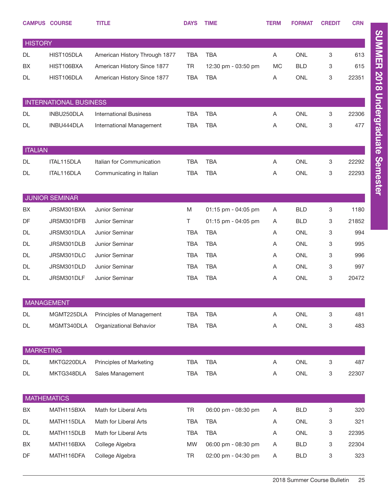|                  | <b>CAMPUS COURSE</b>          | <b>TITLE</b>                  | <b>DAYS</b> | <b>TIME</b>         | <b>TERM</b> | <b>FORMAT</b> | <b>CREDIT</b>             | <b>CRN</b> |
|------------------|-------------------------------|-------------------------------|-------------|---------------------|-------------|---------------|---------------------------|------------|
| <b>HISTORY</b>   |                               |                               |             |                     |             |               |                           |            |
| <b>DL</b>        | HIST105DLA                    | American History Through 1877 | <b>TBA</b>  | <b>TBA</b>          | A           | <b>ONL</b>    | 3                         | 613        |
| BX               | HIST106BXA                    | American History Since 1877   | <b>TR</b>   | 12:30 pm - 03:50 pm | <b>MC</b>   | <b>BLD</b>    | 3                         | 615        |
| <b>DL</b>        | HIST106DLA                    | American History Since 1877   | <b>TBA</b>  | <b>TBA</b>          | Α           | <b>ONL</b>    | 3                         | 22351      |
|                  |                               |                               |             |                     |             |               |                           |            |
|                  | <b>INTERNATIONAL BUSINESS</b> |                               |             |                     |             |               |                           |            |
| <b>DL</b>        | INBU250DLA                    | <b>International Business</b> | <b>TBA</b>  | <b>TBA</b>          | Α           | <b>ONL</b>    | 3                         | 22306      |
| <b>DL</b>        | INBU444DLA                    | International Management      | <b>TBA</b>  | <b>TBA</b>          | A           | <b>ONL</b>    | 3                         | 477        |
|                  |                               |                               |             |                     |             |               |                           |            |
| <b>ITALIAN</b>   |                               |                               |             |                     |             |               |                           |            |
| <b>DL</b>        | ITAL115DLA                    | Italian for Communication     | <b>TBA</b>  | <b>TBA</b>          | A           | <b>ONL</b>    | $\ensuremath{\mathsf{3}}$ | 22292      |
| DL               | ITAL116DLA                    | Communicating in Italian      | <b>TBA</b>  | <b>TBA</b>          | A           | <b>ONL</b>    | 3                         | 22293      |
|                  |                               |                               |             |                     |             |               |                           |            |
|                  | <b>JUNIOR SEMINAR</b>         |                               |             |                     |             |               |                           |            |
| BX               | JRSM301BXA                    | Junior Seminar                | M           | 01:15 pm - 04:05 pm | A           | <b>BLD</b>    | 3                         | 1180       |
| DF               | JRSM301DFB                    | Junior Seminar                | Τ           | 01:15 pm - 04:05 pm | Α           | <b>BLD</b>    | 3                         | 21852      |
| <b>DL</b>        | JRSM301DLA                    | Junior Seminar                | <b>TBA</b>  | <b>TBA</b>          | A           | <b>ONL</b>    | 3                         | 994        |
| <b>DL</b>        | JRSM301DLB                    | Junior Seminar                | <b>TBA</b>  | <b>TBA</b>          | A           | <b>ONL</b>    | 3                         | 995        |
| <b>DL</b>        | JRSM301DLC                    | Junior Seminar                | <b>TBA</b>  | <b>TBA</b>          | A           | <b>ONL</b>    | 3                         | 996        |
| <b>DL</b>        | JRSM301DLD                    | Junior Seminar                | <b>TBA</b>  | <b>TBA</b>          | A           | <b>ONL</b>    | 3                         | 997        |
| <b>DL</b>        | JRSM301DLF                    | Junior Seminar                | <b>TBA</b>  | <b>TBA</b>          | Α           | <b>ONL</b>    | 3                         | 20472      |
|                  |                               |                               |             |                     |             |               |                           |            |
|                  | <b>MANAGEMENT</b>             |                               |             |                     |             |               |                           |            |
| <b>DL</b>        | MGMT225DLA                    | Principles of Management      | <b>TBA</b>  | <b>TBA</b>          | A           | <b>ONL</b>    | 3                         | 481        |
| <b>DL</b>        | MGMT340DLA                    | Organizational Behavior       | <b>TBA</b>  | <b>TBA</b>          | Α           | ONL           | 3                         | 483        |
|                  |                               |                               |             |                     |             |               |                           |            |
| <b>MARKETING</b> |                               |                               |             |                     |             |               |                           |            |
| <b>DL</b>        | MKTG220DLA                    | Principles of Marketing       | <b>TBA</b>  | <b>TBA</b>          | Α           | <b>ONL</b>    | 3                         | 487        |
| DL               | MKTG348DLA                    | Sales Management              | <b>TBA</b>  | <b>TBA</b>          | Α           | ONL           | 3                         | 22307      |
|                  |                               |                               |             |                     |             |               |                           |            |
|                  | <b>MATHEMATICS</b>            |                               |             |                     |             |               |                           |            |
| BX               | MATH115BXA                    | Math for Liberal Arts         | <b>TR</b>   | 06:00 pm - 08:30 pm | Α           | <b>BLD</b>    | $\ensuremath{\mathsf{3}}$ | 320        |
| DL               | MATH115DLA                    | Math for Liberal Arts         | <b>TBA</b>  | <b>TBA</b>          | Α           | ONL           | 3                         | 321        |
| DL               | MATH115DLB                    | Math for Liberal Arts         | <b>TBA</b>  | <b>TBA</b>          | Α           | ONL           | 3                         | 22395      |
| BX               | MATH116BXA                    | College Algebra               | MW          | 06:00 pm - 08:30 pm | Α           | <b>BLD</b>    | 3                         | 22304      |
| DF               | MATH116DFA                    | College Algebra               | TR          | 02:00 pm - 04:30 pm | Α           | <b>BLD</b>    | $\mathbf 3$               | 323        |

SUMMER 2018 Undergraduate Semester SUMMER 2018 Undergraduate Semester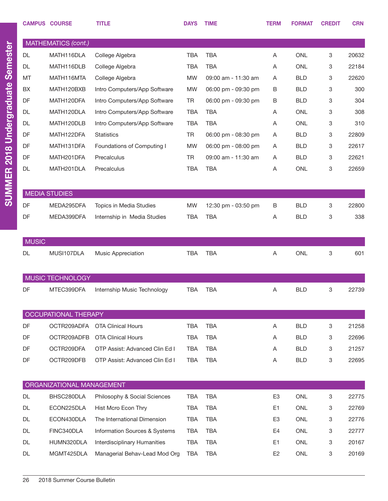|              | <b>CAMPUS COURSE</b>      | <b>TITLE</b>                   | <b>DAYS</b> | <b>TIME</b>         | <b>TERM</b>    | <b>FORMAT</b> | <b>CREDIT</b> | <b>CRN</b> |
|--------------|---------------------------|--------------------------------|-------------|---------------------|----------------|---------------|---------------|------------|
|              | MATHEMATICS (cont.)       |                                |             |                     |                |               |               |            |
| <b>DL</b>    | MATH116DLA                | College Algebra                | <b>TBA</b>  | <b>TBA</b>          | Α              | <b>ONL</b>    | 3             | 20632      |
| <b>DL</b>    | MATH116DLB                | College Algebra                | <b>TBA</b>  | <b>TBA</b>          | Α              | <b>ONL</b>    | 3             | 22184      |
| MT           | MATH116MTA                | College Algebra                | <b>MW</b>   | 09:00 am - 11:30 am | Α              | <b>BLD</b>    | 3             | 22620      |
| BX           | MATH120BXB                | Intro Computers/App Software   | <b>MW</b>   | 06:00 pm - 09:30 pm | B              | <b>BLD</b>    | 3             | 300        |
| DF           | MATH120DFA                | Intro Computers/App Software   | <b>TR</b>   | 06:00 pm - 09:30 pm | B              | <b>BLD</b>    | 3             | 304        |
| <b>DL</b>    | MATH120DLA                | Intro Computers/App Software   | <b>TBA</b>  | <b>TBA</b>          | Α              | <b>ONL</b>    | 3             | 308        |
| <b>DL</b>    | MATH120DLB                | Intro Computers/App Software   | <b>TBA</b>  | <b>TBA</b>          | Α              | <b>ONL</b>    | 3             | 310        |
| DF           | MATH122DFA                | <b>Statistics</b>              | <b>TR</b>   | 06:00 pm - 08:30 pm | Α              | <b>BLD</b>    | 3             | 22809      |
| DF           | MATH131DFA                | Foundations of Computing I     | <b>MW</b>   | 06:00 pm - 08:00 pm | Α              | <b>BLD</b>    | 3             | 22617      |
| DF           | MATH201DFA                | Precalculus                    | <b>TR</b>   | 09:00 am - 11:30 am | Α              | <b>BLD</b>    | 3             | 22621      |
| <b>DL</b>    | MATH201DLA                | Precalculus                    | <b>TBA</b>  | <b>TBA</b>          | Α              | <b>ONL</b>    | 3             | 22659      |
|              |                           |                                |             |                     |                |               |               |            |
|              | <b>MEDIA STUDIES</b>      |                                |             |                     |                |               |               |            |
| DF           | MEDA295DFA                | Topics in Media Studies        | <b>MW</b>   | 12:30 pm - 03:50 pm | В              | <b>BLD</b>    | 3             | 22800      |
| DF           | MEDA399DFA                | Internship in Media Studies    | <b>TBA</b>  | <b>TBA</b>          | Α              | <b>BLD</b>    | 3             | 338        |
|              |                           |                                |             |                     |                |               |               |            |
| <b>MUSIC</b> |                           |                                |             |                     |                |               |               |            |
| <b>DL</b>    | MUSI107DLA                | Music Appreciation             | <b>TBA</b>  | <b>TBA</b>          | Α              | <b>ONL</b>    | 3             | 601        |
|              |                           |                                |             |                     |                |               |               |            |
|              |                           |                                |             |                     |                |               |               |            |
|              | MUSIC TECHNOLOGY          |                                |             |                     |                |               |               |            |
| DF           | MTEC399DFA                | Internship Music Technology    | <b>TBA</b>  | <b>TBA</b>          | Α              | <b>BLD</b>    | 3             | 22739      |
|              |                           |                                |             |                     |                |               |               |            |
|              | OCCUPATIONAL THERAPY      |                                |             |                     |                |               |               |            |
| DF           | OCTR209ADFA               | <b>OTA Clinical Hours</b>      | <b>TBA</b>  | <b>TBA</b>          | Α              | <b>BLD</b>    | 3             | 21258      |
| DF           | OCTR209ADFB               | <b>OTA Clinical Hours</b>      | <b>TBA</b>  | <b>TBA</b>          | A              | <b>BLD</b>    | 3             | 22696      |
| DF           | OCTR209DFA                | OTP Assist: Advanced Clin Ed I | <b>TBA</b>  | <b>TBA</b>          | A              | <b>BLD</b>    | 3             | 21257      |
| DF           | OCTR209DFB                | OTP Assist: Advanced Clin Ed I | <b>TBA</b>  | <b>TBA</b>          | Α              | <b>BLD</b>    | 3             | 22695      |
|              |                           |                                |             |                     |                |               |               |            |
|              | ORGANIZATIONAL MANAGEMENT |                                |             |                     |                |               |               |            |
| DL           | BHSC280DLA                | Philosophy & Social Sciences   | <b>TBA</b>  | <b>TBA</b>          | E <sub>3</sub> | <b>ONL</b>    | 3             | 22775      |
| <b>DL</b>    | ECON225DLA                | Hist Mcro Econ Thry            | <b>TBA</b>  | <b>TBA</b>          | E <sub>1</sub> | <b>ONL</b>    | 3             | 22769      |
| <b>DL</b>    | ECON430DLA                | The International Dimension    | <b>TBA</b>  | <b>TBA</b>          | E <sub>3</sub> | <b>ONL</b>    | 3             | 22776      |
| <b>DL</b>    | FINC340DLA                | Information Sources & Systems  | <b>TBA</b>  | <b>TBA</b>          | E4             | <b>ONL</b>    | 3             | 22777      |
| <b>DL</b>    | HUMN320DLA                | Interdisciplinary Humanities   | <b>TBA</b>  | <b>TBA</b>          | E <sub>1</sub> | <b>ONL</b>    | 3             | 20167      |
| DL           | MGMT425DLA                | Managerial Behav-Lead Mod Org  | <b>TBA</b>  | <b>TBA</b>          | E <sub>2</sub> | ONL           | 3             | 20169      |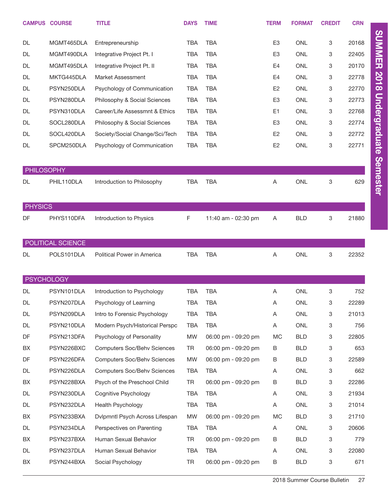|                   | <b>CAMPUS COURSE</b> | <b>TITLE</b>                       | <b>DAYS</b> | <b>TIME</b>         | <b>TERM</b>    | <b>FORMAT</b> | <b>CREDIT</b> | <b>CRN</b> |
|-------------------|----------------------|------------------------------------|-------------|---------------------|----------------|---------------|---------------|------------|
| <b>DL</b>         | MGMT465DLA           | Entrepreneurship                   | <b>TBA</b>  | <b>TBA</b>          | E <sub>3</sub> | <b>ONL</b>    | 3             | 20168      |
| <b>DL</b>         | MGMT490DLA           | Integrative Project Pt. I          | <b>TBA</b>  | <b>TBA</b>          | E <sub>3</sub> | <b>ONL</b>    | 3             | 22405      |
| DL                | MGMT495DLA           | Integrative Project Pt. II         | <b>TBA</b>  | <b>TBA</b>          | E <sub>4</sub> | <b>ONL</b>    | 3             | 20170      |
| DL                | MKTG445DLA           | Market Assessment                  | <b>TBA</b>  | <b>TBA</b>          | E <sub>4</sub> | <b>ONL</b>    | 3             | 22778      |
| DL                | PSYN250DLA           | Psychology of Communication        | <b>TBA</b>  | <b>TBA</b>          | E <sub>2</sub> | <b>ONL</b>    | 3             | 22770      |
| <b>DL</b>         | PSYN280DLA           | Philosophy & Social Sciences       | <b>TBA</b>  | <b>TBA</b>          | E <sub>3</sub> | <b>ONL</b>    | 3             | 22773      |
| <b>DL</b>         | PSYN310DLA           | Career/Life Assessmnt & Ethics     | <b>TBA</b>  | <b>TBA</b>          | E <sub>1</sub> | <b>ONL</b>    | 3             | 22768      |
| DL                | SOCL280DLA           | Philosophy & Social Sciences       | <b>TBA</b>  | <b>TBA</b>          | E <sub>3</sub> | <b>ONL</b>    | 3             | 22774      |
| DL                | SOCL420DLA           | Society/Social Change/Sci/Tech     | <b>TBA</b>  | <b>TBA</b>          | E <sub>2</sub> | <b>ONL</b>    | 3             | 22772      |
| DL                | SPCM250DLA           | Psychology of Communication        | <b>TBA</b>  | <b>TBA</b>          | E <sub>2</sub> | <b>ONL</b>    | 3             | 22771      |
|                   |                      |                                    |             |                     |                |               |               |            |
| <b>PHILOSOPHY</b> |                      |                                    |             |                     |                |               |               |            |
| DL                | PHIL110DLA           | Introduction to Philosophy         | <b>TBA</b>  | <b>TBA</b>          | Α              | <b>ONL</b>    | 3             | 629        |
| <b>PHYSICS</b>    |                      |                                    |             |                     |                |               |               |            |
| DF                | PHYS110DFA           | Introduction to Physics            | F           | 11:40 am - 02:30 pm | Α              | <b>BLD</b>    | 3             | 21880      |
|                   |                      |                                    |             |                     |                |               |               |            |
|                   | POLITICAL SCIENCE    |                                    |             |                     |                |               |               |            |
| DL                | POLS101DLA           | Political Power in America         | <b>TBA</b>  | <b>TBA</b>          | A              | <b>ONL</b>    | 3             | 22352      |
|                   |                      |                                    |             |                     |                |               |               |            |
| <b>PSYCHOLOGY</b> |                      |                                    |             |                     |                |               |               |            |
| DL                | PSYN101DLA           | Introduction to Psychology         | <b>TBA</b>  | <b>TBA</b>          | A              | <b>ONL</b>    | 3             | 752        |
| DL                | PSYN207DLA           | Psychology of Learning             | TBA         | TBA                 | Α              | ONL           | 3             | 22289      |
| DL                | PSYN209DLA           | Intro to Forensic Psychology       | <b>TBA</b>  | <b>TBA</b>          | Α              | ONL           | 3             | 21013      |
| DL                | PSYN210DLA           | Modern Psych/Historical Perspc     | TBA         | TBA                 | Α              | ONL           | 3             | 756        |
| DF                | PSYN213DFA           | Psychology of Personality          | MW          | 06:00 pm - 09:20 pm | MC             | <b>BLD</b>    | 3             | 22805      |
| BX                | PSYN226BXC           | <b>Computers Soc/Behv Sciences</b> | TR          | 06:00 pm - 09:20 pm | В              | <b>BLD</b>    | 3             | 653        |
| DF                | PSYN226DFA           | <b>Computers Soc/Behv Sciences</b> | MW          | 06:00 pm - 09:20 pm | В              | <b>BLD</b>    | 3             | 22589      |
| DL                | PSYN226DLA           | <b>Computers Soc/Behv Sciences</b> | TBA         | TBA                 | Α              | ONL           | 3             | 662        |
| BX                | PSYN228BXA           | Psych of the Preschool Child       | TR          | 06:00 pm - 09:20 pm | В              | <b>BLD</b>    | 3             | 22286      |
| DL                | PSYN230DLA           | Cognitive Psychology               | TBA         | TBA                 | Α              | ONL           | 3             | 21934      |
| DL                | PSYN232DLA           | <b>Health Psychology</b>           | TBA         | TBA                 | Α              | ONL           | 3             | 21014      |
| BX                | PSYN233BXA           | Dvlpmntl Psych Across Lifespan     | MW          | 06:00 pm - 09:20 pm | МC             | <b>BLD</b>    | 3             | 21710      |
| DL                | PSYN234DLA           | Perspectives on Parenting          | TBA         | TBA                 | A              | ONL           | 3             | 20606      |
| BX                | PSYN237BXA           | Human Sexual Behavior              | TR          | 06:00 pm - 09:20 pm | В              | <b>BLD</b>    | 3             | 779        |
| DL                | PSYN237DLA           | Human Sexual Behavior              | TBA         | TBA                 | Α              | ONL           | 3             | 22080      |
| BX                | PSYN244BXA           | Social Psychology                  | TR          | 06:00 pm - 09:20 pm | B              | <b>BLD</b>    | 3             | 671        |

SUMMER 2018 Undergraduate Semester SUMMER 2018 Undergraduate Semester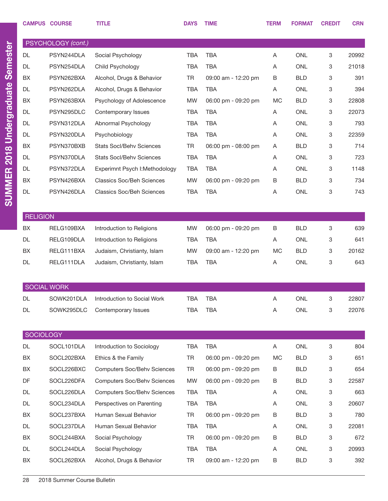|                 | <b>CAMPUS COURSE</b> | <b>TITLE</b>                           | <b>DAYS</b> | <b>TIME</b>         | <b>TERM</b> | <b>FORMAT</b> | <b>CREDIT</b> | <b>CRN</b> |
|-----------------|----------------------|----------------------------------------|-------------|---------------------|-------------|---------------|---------------|------------|
|                 | PSYCHOLOGY (cont.)   |                                        |             |                     |             |               |               |            |
| <b>DL</b>       | PSYN244DLA           | Social Psychology                      | <b>TBA</b>  | <b>TBA</b>          | Α           | <b>ONL</b>    | 3             | 20992      |
| <b>DL</b>       | PSYN254DLA           | Child Psychology                       | <b>TBA</b>  | <b>TBA</b>          | Α           | <b>ONL</b>    | 3             | 21018      |
| BX              | PSYN262BXA           | Alcohol, Drugs & Behavior              | <b>TR</b>   | 09:00 am - 12:20 pm | B           | <b>BLD</b>    | 3             | 391        |
| <b>DL</b>       | PSYN262DLA           | Alcohol, Drugs & Behavior              | <b>TBA</b>  | <b>TBA</b>          | Α           | <b>ONL</b>    | 3             | 394        |
| BX              | PSYN263BXA           | Psychology of Adolescence              | <b>MW</b>   | 06:00 pm - 09:20 pm | MC          | <b>BLD</b>    | 3             | 22808      |
| <b>DL</b>       | PSYN295DLC           | Contemporary Issues                    | <b>TBA</b>  | <b>TBA</b>          | Α           | <b>ONL</b>    | 3             | 22073      |
| <b>DL</b>       | PSYN312DLA           | Abnormal Psychology                    | <b>TBA</b>  | <b>TBA</b>          | Α           | <b>ONL</b>    | 3             | 793        |
| <b>DL</b>       | PSYN320DLA           | Psychobiology                          | <b>TBA</b>  | <b>TBA</b>          | Α           | <b>ONL</b>    | 3             | 22359      |
| BX              | PSYN370BXB           | <b>Stats Socl/Behv Sciences</b>        | <b>TR</b>   | 06:00 pm - 08:00 pm | Α           | <b>BLD</b>    | 3             | 714        |
| <b>DL</b>       | PSYN370DLA           | <b>Stats Socl/Behy Sciences</b>        | <b>TBA</b>  | <b>TBA</b>          | Α           | <b>ONL</b>    | 3             | 723        |
| <b>DL</b>       | PSYN372DLA           | Experimnt Psych I: Methodology         | <b>TBA</b>  | <b>TBA</b>          | Α           | <b>ONL</b>    | 3             | 1148       |
| BX              | PSYN426BXA           | <b>Classics Soc/Beh Sciences</b>       | <b>MW</b>   | 06:00 pm - 09:20 pm | B           | <b>BLD</b>    | 3             | 734        |
| <b>DL</b>       | PSYN426DLA           | <b>Classics Soc/Beh Sciences</b>       | <b>TBA</b>  | <b>TBA</b>          | Α           | <b>ONL</b>    | 3             | 743        |
|                 |                      |                                        |             |                     |             |               |               |            |
| <b>RELIGION</b> |                      |                                        |             |                     |             |               |               |            |
| BX              | RELG109BXA           | Introduction to Religions              | <b>MW</b>   | 06:00 pm - 09:20 pm | B           | <b>BLD</b>    | 3             | 639        |
| <b>DL</b>       | RELG109DLA           | Introduction to Religions              | <b>TBA</b>  | <b>TBA</b>          | Α           | <b>ONL</b>    | 3             | 641        |
| BX              | RELG111BXA           | Judaism, Christianty, Islam            | <b>MW</b>   | 09:00 am - 12:20 pm | MC          | <b>BLD</b>    | 3             | 20162      |
| <b>DL</b>       | RELG111DLA           | Judaism, Christianty, Islam            | <b>TBA</b>  | <b>TBA</b>          | Α           | <b>ONL</b>    | 3             | 643        |
|                 |                      |                                        |             |                     |             |               |               |            |
|                 | <b>SOCIAL WORK</b>   |                                        |             |                     |             |               |               |            |
| DL              |                      | SOWK201DLA Introduction to Social Work | <b>TBA</b>  | <b>TBA</b>          |             | ONL           | 3             | 22807      |
| DL              | SOWK295DLC           | Contemporary Issues                    | <b>TBA</b>  | <b>TBA</b>          | Α           | ONL           | 3             | 22076      |
|                 |                      |                                        |             |                     |             |               |               |            |
| SOCIOLOGY       |                      |                                        |             |                     |             |               |               |            |
| <b>DL</b>       | SOCL101DLA           | Introduction to Sociology              | <b>TBA</b>  | <b>TBA</b>          | Α           | ONL           | 3             | 804        |
| BX              | SOCL202BXA           | Ethics & the Family                    | TR          | 06:00 pm - 09:20 pm | MC          | <b>BLD</b>    | 3             | 651        |
| BX              | SOCL226BXC           | <b>Computers Soc/Behv Sciences</b>     | <b>TR</b>   | 06:00 pm - 09:20 pm | В           | <b>BLD</b>    | 3             | 654        |
| DF              | SOCL226DFA           | <b>Computers Soc/Behv Sciences</b>     | MW          | 06:00 pm - 09:20 pm | В           | <b>BLD</b>    | 3             | 22587      |
| DL              | SOCL226DLA           | <b>Computers Soc/Behv Sciences</b>     | <b>TBA</b>  | <b>TBA</b>          | Α           | ONL           | 3             | 663        |
| DL              | SOCL234DLA           | Perspectives on Parenting              | <b>TBA</b>  | <b>TBA</b>          | A           | ONL           | 3             | 20607      |
| BX              | SOCL237BXA           | Human Sexual Behavior                  | TR          | 06:00 pm - 09:20 pm | B           | <b>BLD</b>    | 3             | 780        |
| DL              | SOCL237DLA           | Human Sexual Behavior                  | <b>TBA</b>  | <b>TBA</b>          | A           | ONL           | 3             | 22081      |
| BX              | SOCL244BXA           | Social Psychology                      | TR          | 06:00 pm - 09:20 pm | B           | <b>BLD</b>    | 3             | 672        |
| DL              | SOCL244DLA           | Social Psychology                      | <b>TBA</b>  | <b>TBA</b>          | A           | ONL           | 3             | 20993      |
| BX              | SOCL262BXA           | Alcohol, Drugs & Behavior              | TR          | 09:00 am - 12:20 pm | B           | <b>BLD</b>    | 3             | 392        |

SUMMER 2018 Undergraduate Semester

SUMMER 2018 Undergraduate Semester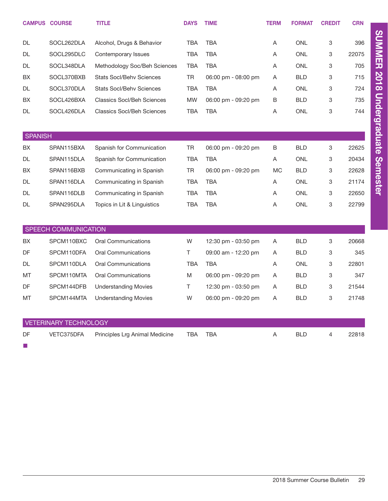|                | <b>CAMPUS COURSE</b>         | <b>TITLE</b>                      | <b>DAYS</b> | <b>TIME</b>         | <b>TERM</b> | <b>FORMAT</b> | <b>CREDIT</b> | <b>CRN</b> |
|----------------|------------------------------|-----------------------------------|-------------|---------------------|-------------|---------------|---------------|------------|
| DL             | SOCL262DLA                   | Alcohol, Drugs & Behavior         | TBA         | <b>TBA</b>          | Α           | <b>ONL</b>    | 3             | 396        |
| <b>DL</b>      | SOCL295DLC                   | Contemporary Issues               | <b>TBA</b>  | <b>TBA</b>          | A           | <b>ONL</b>    | 3             | 22075      |
| DL             | SOCL348DLA                   | Methodology Soc/Beh Sciences      | <b>TBA</b>  | <b>TBA</b>          | Α           | <b>ONL</b>    | 3             | 705        |
| BX             | SOCL370BXB                   | <b>Stats Socl/Behv Sciences</b>   | <b>TR</b>   | 06:00 pm - 08:00 pm | A           | <b>BLD</b>    | 3             | 715        |
| DL             | SOCL370DLA                   | <b>Stats Socl/Behv Sciences</b>   | <b>TBA</b>  | <b>TBA</b>          | Α           | <b>ONL</b>    | 3             | 724        |
| ВX             | SOCL426BXA                   | <b>Classics Socl/Beh Sciences</b> | <b>MW</b>   | 06:00 pm - 09:20 pm | B           | <b>BLD</b>    | 3             | 735        |
| DL             | SOCL426DLA                   | <b>Classics Socl/Beh Sciences</b> | <b>TBA</b>  | <b>TBA</b>          | A           | <b>ONL</b>    | 3             | 744        |
|                |                              |                                   |             |                     |             |               |               |            |
| <b>SPANISH</b> |                              |                                   |             |                     |             |               |               |            |
| BX             | SPAN115BXA                   | Spanish for Communication         | TR          | 06:00 pm - 09:20 pm | В           | BLD           | 3             | 22625      |
| <b>DL</b>      | SPAN115DLA                   | Spanish for Communication         | <b>TBA</b>  | <b>TBA</b>          | A           | <b>ONL</b>    | 3             | 20434      |
| ВX             | SPAN116BXB                   | Communicating in Spanish          | TR          | 06:00 pm - 09:20 pm | МC          | <b>BLD</b>    | 3             | 22628      |
| DL             | SPAN116DLA                   | Communicating in Spanish          | TBA         | <b>TBA</b>          | Α           | <b>ONL</b>    | 3             | 21174      |
| DL             | SPAN116DLB                   | Communicating in Spanish          | TBA         | <b>TBA</b>          | Α           | <b>ONL</b>    | 3             | 22650      |
| DL             | SPAN295DLA                   | Topics in Lit & Linguistics       | <b>TBA</b>  | <b>TBA</b>          | Α           | <b>ONL</b>    | 3             | 22799      |
|                |                              |                                   |             |                     |             |               |               |            |
|                | SPEECH COMMUNICATION         |                                   |             |                     |             |               |               |            |
| ВX             | SPCM110BXC                   | <b>Oral Communications</b>        | W           | 12:30 pm - 03:50 pm | Α           | BLD           | 3             | 20668      |
| DF             | SPCM110DFA                   | <b>Oral Communications</b>        | T.          | 09:00 am - 12:20 pm | A           | <b>BLD</b>    | 3             | 345        |
| DL             | SPCM110DLA                   | <b>Oral Communications</b>        | <b>TBA</b>  | <b>TBA</b>          | A           | <b>ONL</b>    | 3             | 22801      |
| MT             | SPCM110MTA                   | <b>Oral Communications</b>        | M           | 06:00 pm - 09:20 pm | Α           | <b>BLD</b>    | 3             | 347        |
| DF             | SPCM144DFB                   | <b>Understanding Movies</b>       | T.          | 12:30 pm - 03:50 pm | A           | <b>BLD</b>    | 3             | 21544      |
| МT             | SPCM144MTA                   | <b>Understanding Movies</b>       | W           | 06:00 pm - 09:20 pm | A           | <b>BLD</b>    | 3             | 21748      |
|                |                              |                                   |             |                     |             |               |               |            |
|                | <b>VETERINARY TECHNOLOGY</b> |                                   |             |                     |             |               |               |            |
| DF             | VETC375DFA                   | Principles Lrg Animal Medicine    | TBA         | <b>TBA</b>          | Α           | <b>BLD</b>    | 4             | 22818      |

■

SUMMER 2018 Undergraduate Semester

SUMMER 2018 Undergraduate Semester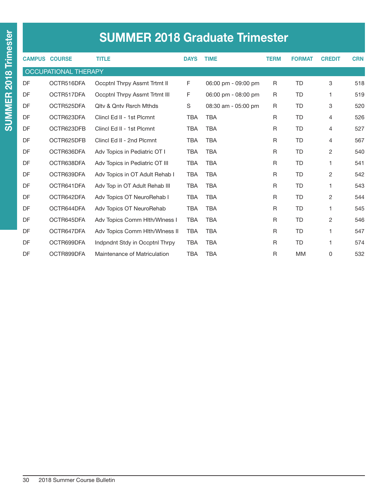|  | <b>SUMMER 2018 Graduate Trimester</b> |  |
|--|---------------------------------------|--|
|  |                                       |  |

|    | <b>CAMPUS COURSE</b> | <b>TITLE</b>                       | <b>DAYS</b> | <b>TIME</b>         | <b>TERM</b> | <b>FORMAT</b> | <b>CREDIT</b>  | <b>CRN</b> |
|----|----------------------|------------------------------------|-------------|---------------------|-------------|---------------|----------------|------------|
|    | OCCUPATIONAL THERAPY |                                    |             |                     |             |               |                |            |
| DF | OCTR516DFA           | Occptnl Thrpy Assmt Trtmt II       | F           | 06:00 pm - 09:00 pm | R           | <b>TD</b>     | 3              | 518        |
| DF | OCTR517DFA           | Occptnl Thrpy Assmt Trtmt III      | F           | 06:00 pm - 08:00 pm | R           | <b>TD</b>     | 1              | 519        |
| DF | OCTR525DFA           | <b>Olty &amp; Onty Rsrch Mthds</b> | $\mathbb S$ | 08:30 am - 05:00 pm | R           | <b>TD</b>     | 3              | 520        |
| DF | OCTR623DFA           | Clincl Ed II - 1st Plcmnt          | <b>TBA</b>  | <b>TBA</b>          | R           | TD            | 4              | 526        |
| DF | OCTR623DFB           | Clincl Ed II - 1st Plcmnt          | <b>TBA</b>  | <b>TBA</b>          | R           | <b>TD</b>     | 4              | 527        |
| DF | OCTR625DFB           | Clincl Ed II - 2nd Plcmnt          | <b>TBA</b>  | <b>TBA</b>          | R           | TD            | 4              | 567        |
| DF | OCTR636DFA           | Adv Topics in Pediatric OT I       | <b>TBA</b>  | <b>TBA</b>          | R           | <b>TD</b>     | $\overline{2}$ | 540        |
| DF | OCTR638DFA           | Adv Topics in Pediatric OT III     | <b>TBA</b>  | <b>TBA</b>          | R           | <b>TD</b>     | 1              | 541        |
| DF | OCTR639DFA           | Adv Topics in OT Adult Rehab I     | <b>TBA</b>  | <b>TBA</b>          | R           | TD            | 2              | 542        |
| DF | OCTR641DFA           | Adv Top in OT Adult Rehab III      | <b>TBA</b>  | <b>TBA</b>          | R           | <b>TD</b>     | 1              | 543        |
| DF | OCTR642DFA           | Adv Topics OT NeuroRehab I         | <b>TBA</b>  | <b>TBA</b>          | R           | <b>TD</b>     | $\overline{2}$ | 544        |
| DF | OCTR644DFA           | Adv Topics OT NeuroRehab           | <b>TBA</b>  | <b>TBA</b>          | R           | TD            | 1              | 545        |
| DF | OCTR645DFA           | Adv Topics Comm Hith/Winess I      | <b>TBA</b>  | <b>TBA</b>          | R           | <b>TD</b>     | 2              | 546        |
| DF | OCTR647DFA           | Adv Topics Comm Hlth/Winess II     | <b>TBA</b>  | <b>TBA</b>          | R           | TD            | 1              | 547        |
| DF | OCTR699DFA           | Indpndnt Stdy in Occptnl Thrpy     | <b>TBA</b>  | <b>TBA</b>          | R           | <b>TD</b>     | 1              | 574        |
| DF | OCTR899DFA           | Maintenance of Matriculation       | <b>TBA</b>  | <b>TBA</b>          | R           | <b>MM</b>     | 0              | 532        |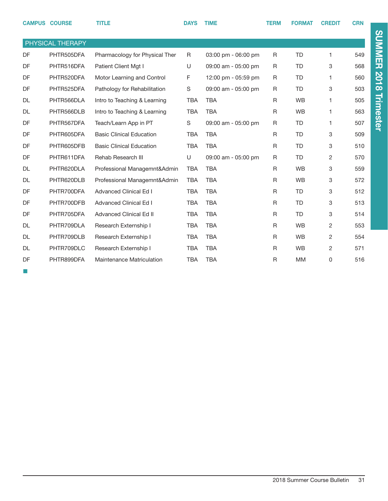|           | <b>CAMPUS COURSE</b> | <b>TITLE</b>                     | <b>DAYS</b> | <b>TIME</b>         | <b>TERM</b> | <b>FORMAT</b> | <b>CREDIT</b> | <b>CRN</b> |
|-----------|----------------------|----------------------------------|-------------|---------------------|-------------|---------------|---------------|------------|
|           | PHYSICAL THERAPY     |                                  |             |                     |             |               |               |            |
| DF        | PHTR505DFA           | Pharmacology for Physical Ther   | R           | 03:00 pm - 06:00 pm | R           | <b>TD</b>     | 1             | 549        |
| DF        | PHTR516DFA           | Patient Client Mgt I             | U           | 09:00 am - 05:00 pm | R           | <b>TD</b>     | 3             | 568        |
| DF        | PHTR520DFA           | Motor Learning and Control       | F           | 12:00 pm - 05:59 pm | R           | <b>TD</b>     | 1             | 560        |
| DF        | PHTR525DFA           | Pathology for Rehabilitation     | S           | 09:00 am - 05:00 pm | R           | <b>TD</b>     | 3             | 503        |
| <b>DL</b> | PHTR566DLA           | Intro to Teaching & Learning     | <b>TBA</b>  | <b>TBA</b>          | R           | <b>WB</b>     | 1             | 505        |
| <b>DL</b> | PHTR566DLB           | Intro to Teaching & Learning     | <b>TBA</b>  | <b>TBA</b>          | R           | <b>WB</b>     | 1             | 563        |
| DF        | PHTR567DFA           | Teach/Learn App in PT            | S           | 09:00 am - 05:00 pm | R           | <b>TD</b>     | 1             | 507        |
| DF        | PHTR605DFA           | <b>Basic Clinical Education</b>  | <b>TBA</b>  | <b>TBA</b>          | R           | <b>TD</b>     | 3             | 509        |
| DF        | PHTR605DFB           | <b>Basic Clinical Education</b>  | <b>TBA</b>  | <b>TBA</b>          | R           | <b>TD</b>     | 3             | 510        |
| DF        | PHTR611DFA           | Rehab Research III               | U           | 09:00 am - 05:00 pm | R           | <b>TD</b>     | 2             | 570        |
| <b>DL</b> | PHTR620DLA           | Professional Managemnt&Admin     | <b>TBA</b>  | <b>TBA</b>          | R           | <b>WB</b>     | 3             | 559        |
| <b>DL</b> | PHTR620DLB           | Professional Managemnt&Admin     | <b>TBA</b>  | <b>TBA</b>          | R           | <b>WB</b>     | 3             | 572        |
| DF        | PHTR700DFA           | <b>Advanced Clinical Ed I</b>    | <b>TBA</b>  | <b>TBA</b>          | R           | <b>TD</b>     | 3             | 512        |
| DF        | PHTR700DFB           | <b>Advanced Clinical Ed I</b>    | <b>TBA</b>  | <b>TBA</b>          | R           | <b>TD</b>     | 3             | 513        |
| DF        | PHTR705DFA           | <b>Advanced Clinical Ed II</b>   | <b>TBA</b>  | <b>TBA</b>          | R           | <b>TD</b>     | 3             | 514        |
| <b>DL</b> | PHTR709DLA           | Research Externship I            | <b>TBA</b>  | <b>TBA</b>          | R           | <b>WB</b>     | 2             | 553        |
| <b>DL</b> | PHTR709DLB           | Research Externship I            | <b>TBA</b>  | <b>TBA</b>          | R           | <b>WB</b>     | 2             | 554        |
| <b>DL</b> | PHTR709DLC           | Research Externship I            | <b>TBA</b>  | <b>TBA</b>          | R           | <b>WB</b>     | 2             | 571        |
| DF        | PHTR899DFA           | <b>Maintenance Matriculation</b> | <b>TBA</b>  | <b>TBA</b>          | R           | <b>MM</b>     | 0             | 516        |

■

# SUMMER 2018 Trimester SUMMER 2018 Trimester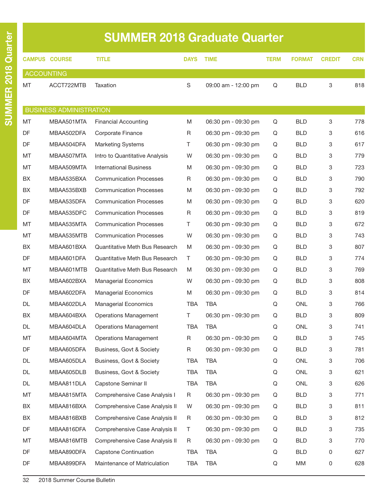# SUMMER 2018 Graduate Quarter

|                   | <b>CAMPUS COURSE</b>           | <b>TITLE</b>                   | <b>DAYS</b> | <b>TIME</b>         | <b>TERM</b> | <b>FORMAT</b> | <b>CREDIT</b> | <b>CRN</b> |
|-------------------|--------------------------------|--------------------------------|-------------|---------------------|-------------|---------------|---------------|------------|
| <b>ACCOUNTING</b> |                                |                                |             |                     |             |               |               |            |
| MT                | ACCT722MTB                     | Taxation                       | S           | 09:00 am - 12:00 pm | Q           | <b>BLD</b>    | 3             | 818        |
|                   |                                |                                |             |                     |             |               |               |            |
|                   | <b>BUSINESS ADMINISTRATION</b> |                                |             |                     |             |               |               |            |
| MT                | MBAA501MTA                     | <b>Financial Accounting</b>    | M           | 06:30 pm - 09:30 pm | Q           | <b>BLD</b>    | 3             | 778        |
| <b>DF</b>         | MBAA502DFA                     | Corporate Finance              | R           | 06:30 pm - 09:30 pm | Q           | BLD.          | 3             | 616        |
| DF                | MBAA504DFA                     | <b>Marketing Systems</b>       | Τ           | 06:30 pm - 09:30 pm | Q           | <b>BLD</b>    | 3             | 617        |
| MT                | MBAA507MTA                     | Intro to Quantitative Analysis | W           | 06:30 pm - 09:30 pm | Q           | <b>BLD</b>    | 3             | 779        |
| MT                | MBAA509MTA                     | <b>International Business</b>  | M           | 06:30 pm - 09:30 pm | Q           | <b>BLD</b>    | 3             | 723        |
| BX                | MBAA535BXA                     | <b>Communication Processes</b> | R           | 06:30 pm - 09:30 pm | Q           | <b>BLD</b>    | 3             | 790        |
| BX                | MBAA535BXB                     | <b>Communication Processes</b> | M           | 06:30 pm - 09:30 pm | Q           | <b>BLD</b>    | 3             | 792        |
| <b>DF</b>         | MBAA535DFA                     | <b>Communication Processes</b> | M           | 06:30 pm - 09:30 pm | Q           | <b>BLD</b>    | 3             | 620        |
| DF                | MBAA535DFC                     | <b>Communication Processes</b> | R           | 06:30 pm - 09:30 pm | Q           | <b>BLD</b>    | 3             | 819        |
| MT                | MBAA535MTA                     | <b>Communication Processes</b> | T.          | 06:30 pm - 09:30 pm | Q           | <b>BLD</b>    | 3             | 672        |
| MT                | MBAA535MTB                     | <b>Communication Processes</b> | W           | 06:30 pm - 09:30 pm | Q           | <b>BLD</b>    | 3             | 743        |
| BX                | MBAA601BXA                     | Quantitative Meth Bus Research | M           | 06:30 pm - 09:30 pm | Q           | BLD.          | 3             | 807        |
| DF                | MBAA601DFA                     | Quantitative Meth Bus Research | Τ           | 06:30 pm - 09:30 pm | Q           | <b>BLD</b>    | 3             | 774        |
| MT                | MBAA601MTB                     | Quantitative Meth Bus Research | M           | 06:30 pm - 09:30 pm | Q           | BLD.          | 3             | 769        |
| BX                | MBAA602BXA                     | <b>Managerial Economics</b>    | W           | 06:30 pm - 09:30 pm | Q           | <b>BLD</b>    | 3             | 808        |
| <b>DF</b>         | MBAA602DFA                     | <b>Managerial Economics</b>    | M           | 06:30 pm - 09:30 pm | Q           | BLD.          | 3             | 814        |
| DL                | MBAA602DLA                     | <b>Managerial Economics</b>    | <b>TBA</b>  | <b>TBA</b>          | Q           | <b>ONL</b>    | 3             | 766        |
| BX                | MBAA604BXA                     | <b>Operations Management</b>   | T.          | 06:30 pm - 09:30 pm | Q           | <b>BLD</b>    | 3             | 809        |
| DL                | MBAA604DLA                     | <b>Operations Management</b>   | <b>TBA</b>  | <b>TBA</b>          | Q           | <b>ONL</b>    | 3             | 741        |
| МT                | MBAA604MTA                     | <b>Operations Management</b>   | R           | 06:30 pm - 09:30 pm | Q           | BLD           | 3             | 745        |
| DF                | MBAA605DFA                     | Business, Govt & Society       | R           | 06:30 pm - 09:30 pm | Q           | <b>BLD</b>    | 3             | 781        |
| DL                | MBAA605DLA                     | Business, Govt & Society       | TBA         | <b>TBA</b>          | Q           | ONL           | 3             | 706        |
| DL                | MBAA605DLB                     | Business, Govt & Society       | TBA         | <b>TBA</b>          | Q           | ONL           | 3             | 621        |
| DL                | MBAA811DLA                     | Capstone Seminar II            | <b>TBA</b>  | <b>TBA</b>          | Q           | ONL           | 3             | 626        |
| MT                | MBAA815MTA                     | Comprehensive Case Analysis I  | R           | 06:30 pm - 09:30 pm | Q           | <b>BLD</b>    | 3             | 771        |
| BX                | MBAA816BXA                     | Comprehensive Case Analysis II | W           | 06:30 pm - 09:30 pm | Q           | <b>BLD</b>    | 3             | 811        |
| BX                | MBAA816BXB                     | Comprehensive Case Analysis II | R           | 06:30 pm - 09:30 pm | Q           | <b>BLD</b>    | 3             | 812        |
| DF                | MBAA816DFA                     | Comprehensive Case Analysis II | T           | 06:30 pm - 09:30 pm | Q           | <b>BLD</b>    | 3             | 735        |
| MT                | MBAA816MTB                     | Comprehensive Case Analysis II | R           | 06:30 pm - 09:30 pm | Q           | <b>BLD</b>    | 3             | 770        |
| DF                | MBAA890DFA                     | <b>Capstone Continuation</b>   | TBA         | <b>TBA</b>          | Q           | <b>BLD</b>    | 0             | 627        |
| DF                | MBAA899DFA                     | Maintenance of Matriculation   | TBA         | <b>TBA</b>          | Q           | ΜM            | 0             | 628        |
|                   |                                |                                |             |                     |             |               |               |            |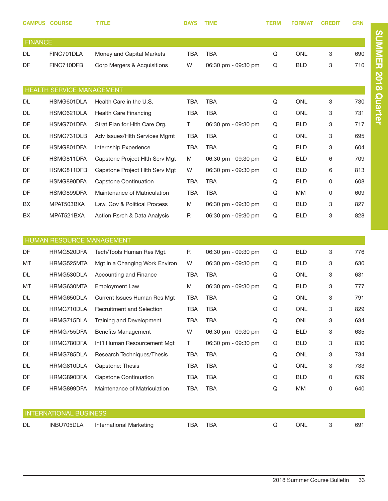|                | <b>CAMPUS COURSE</b>             | <b>TITLE</b>                   | <b>DAYS</b> | <b>TIME</b>         | TERM        | <b>FORMAT</b> | <b>CREDIT</b>             | <b>CRN</b> |
|----------------|----------------------------------|--------------------------------|-------------|---------------------|-------------|---------------|---------------------------|------------|
| <b>FINANCE</b> |                                  |                                |             |                     |             |               |                           |            |
| <b>DL</b>      | FINC701DLA                       | Money and Capital Markets      | <b>TBA</b>  | <b>TBA</b>          | Q           | <b>ONL</b>    | 3                         | 690        |
| DF             | FINC710DFB                       | Corp Mergers & Acquisitions    | W           | 06:30 pm - 09:30 pm | Q           | <b>BLD</b>    | 3                         | 710        |
|                |                                  |                                |             |                     |             |               |                           |            |
|                | <b>HEALTH SERVICE MANAGEMENT</b> |                                |             |                     |             |               |                           |            |
| DL             | HSMG601DLA                       | Health Care in the U.S.        | <b>TBA</b>  | <b>TBA</b>          | Q           | <b>ONL</b>    | 3                         | 730        |
| DL             | HSMG621DLA                       | <b>Health Care Financing</b>   | <b>TBA</b>  | TBA                 | Q           | <b>ONL</b>    | 3                         | 731        |
| DF             | HSMG701DFA                       | Strat Plan for Hith Care Org.  | T.          | 06:30 pm - 09:30 pm | Q           | <b>BLD</b>    | 3                         | 717        |
| DL             | HSMG731DLB                       | Adv Issues/Hith Services Mgmt  | <b>TBA</b>  | TBA                 | Q           | <b>ONL</b>    | 3                         | 695        |
| DF             | HSMG801DFA                       | Internship Experience          | <b>TBA</b>  | <b>TBA</b>          | Q           | <b>BLD</b>    | 3                         | 604        |
| DF             | HSMG811DFA                       | Capstone Project Hith Serv Mgt | M           | 06:30 pm - 09:30 pm | Q           | <b>BLD</b>    | 6                         | 709        |
| DF             | HSMG811DFB                       | Capstone Project Hlth Serv Mgt | W           | 06:30 pm - 09:30 pm | Q           | <b>BLD</b>    | 6                         | 813        |
| DF             | HSMG890DFA                       | Capstone Continuation          | <b>TBA</b>  | <b>TBA</b>          | Q           | <b>BLD</b>    | 0                         | 608        |
| DF             | HSMG899DFA                       | Maintenance of Matriculation   | <b>TBA</b>  | <b>TBA</b>          | Q           | MM            | 0                         | 609        |
| BX             | MPAT503BXA                       | Law, Gov & Political Process   | M           | 06:30 pm - 09:30 pm | Q           | <b>BLD</b>    | 3                         | 827        |
| BX             | MPAT521BXA                       | Action Rsrch & Data Analysis   | $\mathsf R$ | 06:30 pm - 09:30 pm | Q           | <b>BLD</b>    | 3                         | 828        |
|                |                                  |                                |             |                     |             |               |                           |            |
|                | HUMAN RESOURCE MANAGEMENT        |                                |             |                     |             |               |                           |            |
| DF             | HRMG520DFA                       | Tech/Tools Human Res Mgt.      | $\mathsf R$ | 06:30 pm - 09:30 pm | Q           | <b>BLD</b>    | 3                         | 776        |
| MT             | HRMG525MTA                       | Mgt in a Changing Work Environ | W           | 06:30 pm - 09:30 pm | Q           | <b>BLD</b>    | 3                         | 630        |
| <b>DL</b>      | HRMG530DLA                       | Accounting and Finance         | <b>TBA</b>  | <b>TBA</b>          | Q           | <b>ONL</b>    | 3                         | 631        |
| MT             | HRMG630MTA                       | <b>Employment Law</b>          | M           | 06:30 pm - 09:30 pm | Q           | <b>BLD</b>    | 3                         | 777        |
| DL             | HRMG650DLA                       | Current Issues Human Res Mgt   | <b>TBA</b>  | <b>TBA</b>          | Q           | <b>ONL</b>    | 3                         | 791        |
| DL             | HRMG710DLA                       | Recruitment and Selection      | <b>TBA</b>  | <b>TBA</b>          | Q           | ONL           | 3                         | 829        |
| DL             | HRMG715DLA                       | Training and Development       | <b>TBA</b>  | <b>TBA</b>          | Q           | ONL           | 3                         | 634        |
| DF             | HRMG755DFA                       | <b>Benefits Management</b>     | W           | 06:30 pm - 09:30 pm | Q           | <b>BLD</b>    | 3                         | 635        |
| DF             | HRMG780DFA                       | Int'l Human Resourcement Mgt   | T.          | 06:30 pm - 09:30 pm | Q           | <b>BLD</b>    | 3                         | 830        |
| DL             | HRMG785DLA                       | Research Techniques/Thesis     | <b>TBA</b>  | TBA                 | Q           | ONL           | 3                         | 734        |
| DL             | HRMG810DLA                       | Capstone: Thesis               | <b>TBA</b>  | TBA                 | Q           | ONL           | 3                         | 733        |
| DF             | HRMG890DFA                       | <b>Capstone Continuation</b>   | <b>TBA</b>  | <b>TBA</b>          | Q           | <b>BLD</b>    | 0                         | 639        |
| DF             | HRMG899DFA                       | Maintenance of Matriculation   | <b>TBA</b>  | <b>TBA</b>          | Q           | MM            | 0                         | 640        |
|                |                                  |                                |             |                     |             |               |                           |            |
|                | <b>INTERNATIONAL BUSINESS</b>    |                                |             |                     |             |               |                           |            |
| DL             | INBU705DLA                       | <b>International Marketing</b> | <b>TBA</b>  | <b>TBA</b>          | $\mathsf Q$ | ONL           | $\ensuremath{\mathsf{3}}$ | 691        |

SUMMER 2018 Quarter

SUMMER 2018 Quarter